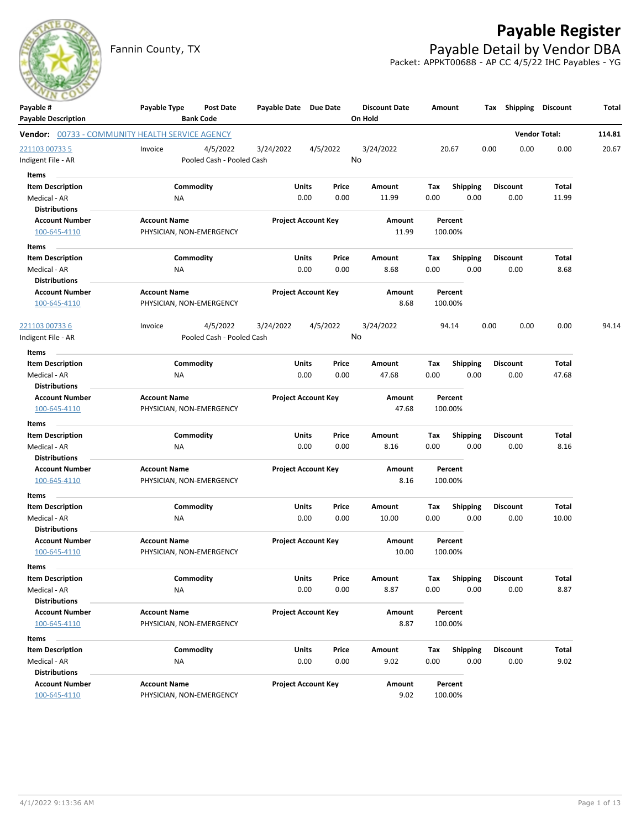

# **Payable Register**

Fannin County, TX **Payable Detail by Vendor DBA** Packet: APPKT00688 - AP CC 4/5/22 IHC Payables - YG

| Payable #<br><b>Payable Description</b>                | Payable Type                                    | <b>Post Date</b><br><b>Bank Code</b> | Payable Date Due Date |                                | <b>Discount Date</b><br>On Hold |             | Amount             | Tax  | <b>Shipping</b>         | <b>Discount</b>      | Total  |
|--------------------------------------------------------|-------------------------------------------------|--------------------------------------|-----------------------|--------------------------------|---------------------------------|-------------|--------------------|------|-------------------------|----------------------|--------|
| <b>Vendor:</b> 00733 - COMMUNITY HEALTH SERVICE AGENCY |                                                 |                                      |                       |                                |                                 |             |                    |      |                         | <b>Vendor Total:</b> | 114.81 |
| 221103 00733 5                                         | Invoice                                         | 4/5/2022                             | 3/24/2022             | 4/5/2022                       | 3/24/2022                       |             | 20.67              | 0.00 | 0.00                    | 0.00                 | 20.67  |
| ndigent File - AR                                      |                                                 | Pooled Cash - Pooled Cash            |                       |                                | No                              |             |                    |      |                         |                      |        |
| Items                                                  |                                                 |                                      |                       |                                |                                 |             |                    |      |                         |                      |        |
| <b>Item Description</b>                                |                                                 | Commodity                            |                       | Units<br>Price                 | Amount                          | Tax         | <b>Shipping</b>    |      | <b>Discount</b>         | Total                |        |
| Medical - AR                                           | ΝA                                              |                                      |                       | 0.00<br>0.00                   | 11.99                           | 0.00        | 0.00               |      | 0.00                    | 11.99                |        |
| <b>Distributions</b>                                   |                                                 |                                      |                       |                                |                                 |             |                    |      |                         |                      |        |
| <b>Account Number</b>                                  | <b>Account Name</b>                             |                                      |                       | <b>Project Account Key</b>     | Amount                          |             | Percent            |      |                         |                      |        |
| 100-645-4110                                           | PHYSICIAN, NON-EMERGENCY                        |                                      |                       |                                | 11.99                           |             | 100.00%            |      |                         |                      |        |
| Items                                                  |                                                 |                                      |                       |                                |                                 |             |                    |      |                         |                      |        |
| <b>Item Description</b>                                |                                                 | Commodity                            |                       | Units<br>Price                 | Amount                          | Tax         | <b>Shipping</b>    |      | <b>Discount</b>         | Total                |        |
| Medical - AR                                           | <b>NA</b>                                       |                                      |                       | 0.00<br>0.00                   | 8.68                            | 0.00        | 0.00               |      | 0.00                    | 8.68                 |        |
| <b>Distributions</b>                                   |                                                 |                                      |                       |                                |                                 |             |                    |      |                         |                      |        |
| <b>Account Number</b><br>100-645-4110                  | <b>Account Name</b><br>PHYSICIAN, NON-EMERGENCY |                                      |                       | <b>Project Account Key</b>     | Amount<br>8.68                  |             | Percent<br>100.00% |      |                         |                      |        |
|                                                        |                                                 |                                      |                       |                                |                                 |             |                    |      |                         |                      |        |
| <u>221103 00733 6</u>                                  | Invoice                                         | 4/5/2022                             | 3/24/2022             | 4/5/2022                       | 3/24/2022                       |             | 94.14              | 0.00 | 0.00                    | 0.00                 | 94.14  |
| Indigent File - AR                                     |                                                 | Pooled Cash - Pooled Cash            |                       |                                | No                              |             |                    |      |                         |                      |        |
| Items                                                  |                                                 |                                      |                       |                                |                                 |             |                    |      |                         |                      |        |
| <b>Item Description</b>                                |                                                 | Commodity                            |                       | Units<br>Price                 | Amount                          | Tax         | <b>Shipping</b>    |      | <b>Discount</b>         | Total                |        |
| Medical - AR                                           | ΝA                                              |                                      |                       | 0.00<br>0.00                   | 47.68                           | 0.00        | 0.00               |      | 0.00                    | 47.68                |        |
| <b>Distributions</b>                                   |                                                 |                                      |                       |                                |                                 |             |                    |      |                         |                      |        |
| <b>Account Number</b>                                  | <b>Account Name</b>                             |                                      |                       | <b>Project Account Key</b>     | Amount                          |             | Percent            |      |                         |                      |        |
| 100-645-4110                                           | PHYSICIAN, NON-EMERGENCY                        |                                      |                       |                                | 47.68                           |             | 100.00%            |      |                         |                      |        |
| Items                                                  |                                                 |                                      |                       |                                |                                 |             |                    |      |                         |                      |        |
| <b>Item Description</b>                                |                                                 | Commodity                            |                       | Units<br>Price                 | Amount                          | Tax         | <b>Shipping</b>    |      | <b>Discount</b>         | Total                |        |
| Medical - AR                                           | NA                                              |                                      |                       | 0.00<br>0.00                   | 8.16                            | 0.00        | 0.00               |      | 0.00                    | 8.16                 |        |
| <b>Distributions</b>                                   |                                                 |                                      |                       |                                |                                 |             |                    |      |                         |                      |        |
| <b>Account Number</b>                                  | <b>Account Name</b>                             |                                      |                       | <b>Project Account Key</b>     | Amount                          |             | Percent            |      |                         |                      |        |
| 100-645-4110                                           | PHYSICIAN, NON-EMERGENCY                        |                                      |                       |                                | 8.16                            |             | 100.00%            |      |                         |                      |        |
| Items                                                  |                                                 |                                      |                       |                                |                                 |             |                    |      |                         |                      |        |
| <b>Item Description</b>                                |                                                 | Commodity                            |                       | Units<br>Price                 | Amount                          | Tax         | <b>Shipping</b>    |      | <b>Discount</b>         | Total                |        |
| Medical - AR                                           | <b>NA</b>                                       |                                      |                       | 0.00<br>0.00                   | 10.00                           | 0.00        | 0.00               |      | 0.00                    | 10.00                |        |
| <b>Distributions</b>                                   |                                                 |                                      |                       |                                |                                 |             |                    |      |                         |                      |        |
| <b>Account Number</b>                                  | <b>Account Name</b>                             |                                      |                       | <b>Project Account Key</b>     | Amount<br>10.00                 |             | Percent<br>100.00% |      |                         |                      |        |
| 100-645-4110                                           | PHYSICIAN, NON-EMERGENCY                        |                                      |                       |                                |                                 |             |                    |      |                         |                      |        |
| Items                                                  |                                                 |                                      |                       |                                |                                 |             |                    |      |                         |                      |        |
| <b>Item Description</b>                                |                                                 | Commodity                            |                       | Units<br>Price                 | Amount                          | Tax         | Shipping           |      | Discount                | Total                |        |
| Medical - AR<br><b>Distributions</b>                   | <b>NA</b>                                       |                                      |                       | 0.00<br>0.00                   | 8.87                            | 0.00        | 0.00               |      | 0.00                    | 8.87                 |        |
| <b>Account Number</b>                                  | <b>Account Name</b>                             |                                      |                       | <b>Project Account Key</b>     | Amount                          |             | Percent            |      |                         |                      |        |
| 100-645-4110                                           | PHYSICIAN, NON-EMERGENCY                        |                                      |                       |                                | 8.87                            |             | 100.00%            |      |                         |                      |        |
|                                                        |                                                 |                                      |                       |                                |                                 |             |                    |      |                         |                      |        |
| Items                                                  |                                                 |                                      |                       |                                | Amount                          |             |                    |      |                         |                      |        |
| <b>Item Description</b><br>Medical - AR                | <b>NA</b>                                       | Commodity                            |                       | Units<br>Price<br>0.00<br>0.00 | 9.02                            | Tax<br>0.00 | Shipping<br>0.00   |      | <b>Discount</b><br>0.00 | Total<br>9.02        |        |
| <b>Distributions</b>                                   |                                                 |                                      |                       |                                |                                 |             |                    |      |                         |                      |        |
| <b>Account Number</b>                                  | <b>Account Name</b>                             |                                      |                       | <b>Project Account Key</b>     | Amount                          |             | Percent            |      |                         |                      |        |
| 100-645-4110                                           | PHYSICIAN, NON-EMERGENCY                        |                                      |                       |                                | 9.02                            |             | 100.00%            |      |                         |                      |        |
|                                                        |                                                 |                                      |                       |                                |                                 |             |                    |      |                         |                      |        |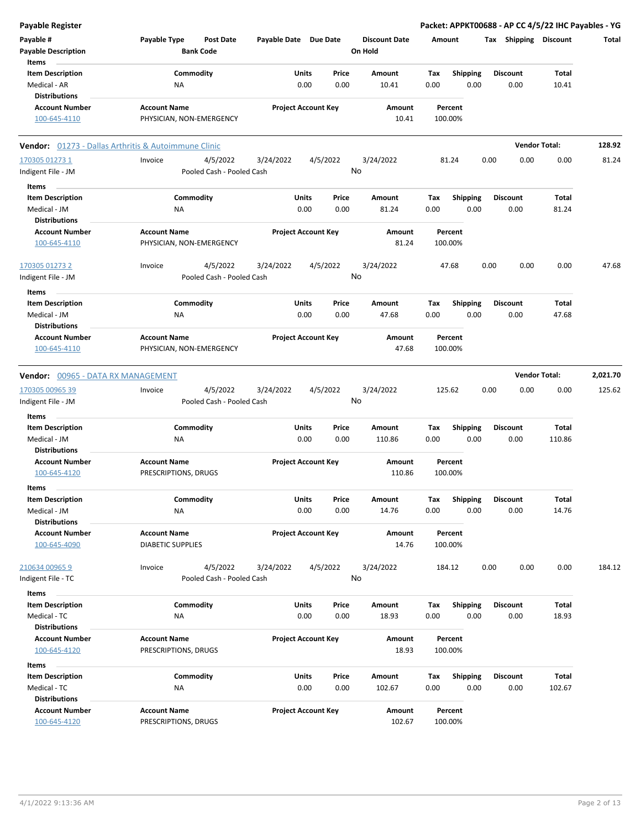| <b>Payable Register</b>                       |                                                             |                       |                            |                                 | Packet: APPKT00688 - AP CC 4/5/22 IHC Payables - YG |      |                       |                      |          |
|-----------------------------------------------|-------------------------------------------------------------|-----------------------|----------------------------|---------------------------------|-----------------------------------------------------|------|-----------------------|----------------------|----------|
| Payable #<br><b>Payable Description</b>       | Payable Type<br><b>Post Date</b><br><b>Bank Code</b>        | Payable Date Due Date |                            | <b>Discount Date</b><br>On Hold | Amount                                              |      | Tax Shipping Discount |                      | Total    |
| Items<br><b>Item Description</b>              | Commodity                                                   | Units                 | Price                      | Amount                          | <b>Shipping</b><br>Tax                              |      | <b>Discount</b>       | Total                |          |
| Medical - AR                                  | ΝA                                                          |                       | 0.00<br>0.00               | 10.41                           | 0.00                                                | 0.00 | 0.00                  | 10.41                |          |
| <b>Distributions</b>                          |                                                             |                       |                            |                                 |                                                     |      |                       |                      |          |
| <b>Account Number</b><br>100-645-4110         | <b>Account Name</b><br>PHYSICIAN, NON-EMERGENCY             |                       | <b>Project Account Key</b> | Amount<br>10.41                 | Percent<br>100.00%                                  |      |                       |                      |          |
|                                               | <b>Vendor:</b> 01273 - Dallas Arthritis & Autoimmune Clinic |                       |                            |                                 |                                                     |      |                       | <b>Vendor Total:</b> | 128.92   |
| 170305 01273 1                                | 4/5/2022<br>Invoice                                         | 3/24/2022             | 4/5/2022                   | 3/24/2022                       | 81.24                                               | 0.00 | 0.00                  | 0.00                 | 81.24    |
| Indigent File - JM                            | Pooled Cash - Pooled Cash                                   |                       |                            | No                              |                                                     |      |                       |                      |          |
| Items                                         |                                                             |                       |                            |                                 |                                                     |      |                       |                      |          |
| <b>Item Description</b>                       | Commodity                                                   | Units                 | Price                      | Amount                          | Tax<br><b>Shipping</b>                              |      | <b>Discount</b>       | Total                |          |
| Medical - JM                                  | ΝA                                                          |                       | 0.00<br>0.00               | 81.24                           | 0.00                                                | 0.00 | 0.00                  | 81.24                |          |
| <b>Distributions</b>                          |                                                             |                       |                            |                                 |                                                     |      |                       |                      |          |
| <b>Account Number</b><br>100-645-4110         | <b>Account Name</b><br>PHYSICIAN, NON-EMERGENCY             |                       | <b>Project Account Key</b> | Amount<br>81.24                 | Percent<br>100.00%                                  |      |                       |                      |          |
| 170305 01273 2                                | 4/5/2022<br>Invoice                                         | 3/24/2022             | 4/5/2022                   | 3/24/2022                       | 47.68                                               | 0.00 | 0.00                  | 0.00                 | 47.68    |
| Indigent File - JM                            | Pooled Cash - Pooled Cash                                   |                       |                            | No                              |                                                     |      |                       |                      |          |
| Items                                         |                                                             |                       |                            |                                 |                                                     |      |                       |                      |          |
| <b>Item Description</b>                       | Commodity                                                   | <b>Units</b>          | Price                      | Amount                          | Tax<br><b>Shipping</b>                              |      | <b>Discount</b>       | Total                |          |
| Medical - JM                                  | ΝA                                                          |                       | 0.00<br>0.00               | 47.68                           | 0.00                                                | 0.00 | 0.00                  | 47.68                |          |
| <b>Distributions</b><br><b>Account Number</b> | <b>Account Name</b>                                         |                       | <b>Project Account Key</b> | Amount                          | Percent                                             |      |                       |                      |          |
| 100-645-4110                                  | PHYSICIAN, NON-EMERGENCY                                    |                       |                            | 47.68                           | 100.00%                                             |      |                       |                      |          |
| Vendor: 00965 - DATA RX MANAGEMENT            |                                                             |                       |                            |                                 |                                                     |      |                       | <b>Vendor Total:</b> | 2,021.70 |
| 170305 00965 39                               | 4/5/2022<br>Invoice                                         | 3/24/2022             | 4/5/2022                   | 3/24/2022                       | 125.62                                              | 0.00 | 0.00                  | 0.00                 | 125.62   |
| Indigent File - JM                            | Pooled Cash - Pooled Cash                                   |                       |                            | No                              |                                                     |      |                       |                      |          |
| Items                                         |                                                             |                       |                            |                                 |                                                     |      |                       |                      |          |
| <b>Item Description</b>                       | Commodity                                                   | Units                 | Price                      | Amount                          | <b>Shipping</b><br>Tax                              |      | <b>Discount</b>       | Total                |          |
| Medical - JM                                  | ΝA                                                          |                       | 0.00<br>0.00               | 110.86                          | 0.00                                                | 0.00 | 0.00                  | 110.86               |          |
| <b>Distributions</b>                          |                                                             |                       |                            |                                 |                                                     |      |                       |                      |          |
| <b>Account Number</b>                         | <b>Account Name</b>                                         |                       | <b>Project Account Key</b> | Amount                          | Percent                                             |      |                       |                      |          |
| 100-645-4120                                  | PRESCRIPTIONS, DRUGS                                        |                       |                            | 110.86                          | 100.00%                                             |      |                       |                      |          |
| items                                         |                                                             |                       |                            |                                 |                                                     |      |                       |                      |          |
| <b>Item Description</b>                       | Commodity                                                   | <b>Units</b>          | Price                      | Amount                          | <b>Shipping</b><br>Тах                              |      | <b>Discount</b>       | Total                |          |
| Medical - JM                                  | NA                                                          |                       | 0.00<br>0.00               | 14.76                           | 0.00                                                | 0.00 | 0.00                  | 14.76                |          |
| <b>Distributions</b>                          |                                                             |                       |                            |                                 |                                                     |      |                       |                      |          |
| <b>Account Number</b><br>100-645-4090         | <b>Account Name</b><br><b>DIABETIC SUPPLIES</b>             |                       | <b>Project Account Key</b> | Amount<br>14.76                 | Percent<br>100.00%                                  |      |                       |                      |          |
| 210634 00965 9                                | 4/5/2022<br>Invoice                                         | 3/24/2022             | 4/5/2022                   | 3/24/2022                       | 184.12                                              | 0.00 | 0.00                  | 0.00                 | 184.12   |
| Indigent File - TC                            | Pooled Cash - Pooled Cash                                   |                       |                            | No                              |                                                     |      |                       |                      |          |
|                                               |                                                             |                       |                            |                                 |                                                     |      |                       |                      |          |
| Items<br><b>Item Description</b>              | Commodity                                                   | Units                 | Price                      | Amount                          | Tax<br><b>Shipping</b>                              |      | <b>Discount</b>       | Total                |          |
| Medical - TC                                  | ΝA                                                          |                       | 0.00<br>0.00               | 18.93                           | 0.00                                                | 0.00 | 0.00                  | 18.93                |          |
| <b>Distributions</b>                          |                                                             |                       |                            |                                 |                                                     |      |                       |                      |          |
| <b>Account Number</b>                         | <b>Account Name</b>                                         |                       | <b>Project Account Key</b> | Amount                          | Percent                                             |      |                       |                      |          |
| 100-645-4120                                  | PRESCRIPTIONS, DRUGS                                        |                       |                            | 18.93                           | 100.00%                                             |      |                       |                      |          |
| Items                                         |                                                             |                       |                            |                                 |                                                     |      |                       |                      |          |
| <b>Item Description</b>                       | Commodity                                                   | Units                 | Price                      | Amount                          | <b>Shipping</b><br>Tax                              |      | <b>Discount</b>       | Total                |          |
| Medical - TC                                  | NA                                                          |                       | 0.00<br>0.00               | 102.67                          | 0.00                                                | 0.00 | 0.00                  | 102.67               |          |
| <b>Distributions</b>                          |                                                             |                       |                            |                                 |                                                     |      |                       |                      |          |
| <b>Account Number</b><br>100-645-4120         | <b>Account Name</b><br>PRESCRIPTIONS, DRUGS                 |                       | <b>Project Account Key</b> | Amount<br>102.67                | Percent<br>100.00%                                  |      |                       |                      |          |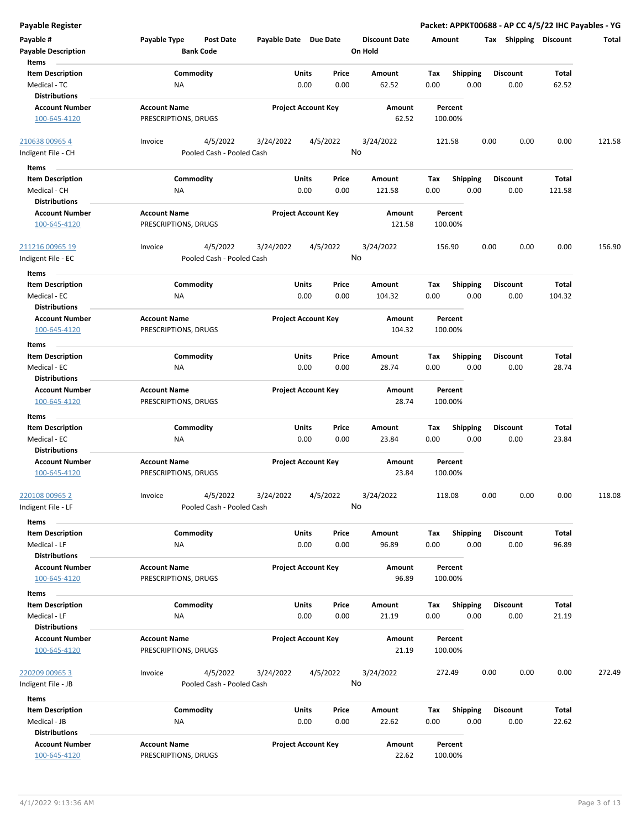| <b>Payable Register</b>                                                  |                                                      |                            |               |                                 |                                        | Packet: APPKT00688 - AP CC 4/5/22 IHC Payables - YG |                 |        |
|--------------------------------------------------------------------------|------------------------------------------------------|----------------------------|---------------|---------------------------------|----------------------------------------|-----------------------------------------------------|-----------------|--------|
| Payable #<br><b>Payable Description</b>                                  | Payable Type<br><b>Post Date</b><br><b>Bank Code</b> | Payable Date Due Date      |               | <b>Discount Date</b><br>On Hold | Amount                                 | Tax Shipping Discount                               |                 | Total  |
| Items<br><b>Item Description</b><br>Medical - TC                         | Commodity<br>NA                                      | Units<br>0.00              | Price<br>0.00 | Amount<br>62.52                 | Tax<br><b>Shipping</b><br>0.00<br>0.00 | <b>Discount</b><br>0.00                             | Total<br>62.52  |        |
| <b>Distributions</b><br><b>Account Number</b><br>100-645-4120            | <b>Account Name</b><br>PRESCRIPTIONS, DRUGS          | <b>Project Account Key</b> |               | Amount<br>62.52                 | Percent<br>100.00%                     |                                                     |                 |        |
| 210638 00965 4<br>Indigent File - CH                                     | 4/5/2022<br>Invoice<br>Pooled Cash - Pooled Cash     | 3/24/2022                  | 4/5/2022      | 3/24/2022<br>No                 | 121.58                                 | 0.00<br>0.00                                        | 0.00            | 121.58 |
|                                                                          |                                                      |                            |               |                                 |                                        |                                                     |                 |        |
| Items<br><b>Item Description</b><br>Medical - CH<br><b>Distributions</b> | Commodity<br>ΝA                                      | Units<br>0.00              | Price<br>0.00 | Amount<br>121.58                | <b>Shipping</b><br>Tax<br>0.00<br>0.00 | <b>Discount</b><br>0.00                             | Total<br>121.58 |        |
| <b>Account Number</b><br>100-645-4120                                    | <b>Account Name</b><br>PRESCRIPTIONS, DRUGS          | <b>Project Account Key</b> |               | Amount<br>121.58                | Percent<br>100.00%                     |                                                     |                 |        |
| 211216 00965 19<br>Indigent File - EC                                    | 4/5/2022<br>Invoice<br>Pooled Cash - Pooled Cash     | 3/24/2022                  | 4/5/2022      | 3/24/2022<br>No                 | 156.90                                 | 0.00<br>0.00                                        | 0.00            | 156.90 |
| Items<br><b>Item Description</b><br>Medical - EC                         | Commodity<br>NA                                      | Units<br>0.00              | Price<br>0.00 | Amount<br>104.32                | <b>Shipping</b><br>Tax<br>0.00<br>0.00 | <b>Discount</b><br>0.00                             | Total<br>104.32 |        |
| <b>Distributions</b><br><b>Account Number</b><br>100-645-4120            | <b>Account Name</b><br>PRESCRIPTIONS, DRUGS          | <b>Project Account Key</b> |               | Amount<br>104.32                | Percent<br>100.00%                     |                                                     |                 |        |
| Items                                                                    |                                                      |                            |               |                                 |                                        |                                                     |                 |        |
| <b>Item Description</b><br>Medical - EC<br><b>Distributions</b>          | Commodity<br>NA                                      | Units<br>0.00              | Price<br>0.00 | Amount<br>28.74                 | Tax<br><b>Shipping</b><br>0.00<br>0.00 | <b>Discount</b><br>0.00                             | Total<br>28.74  |        |
| <b>Account Number</b><br>100-645-4120                                    | <b>Account Name</b><br>PRESCRIPTIONS, DRUGS          | <b>Project Account Key</b> |               | Amount<br>28.74                 | Percent<br>100.00%                     |                                                     |                 |        |
| Items                                                                    |                                                      |                            |               |                                 |                                        |                                                     |                 |        |
| <b>Item Description</b><br>Medical - EC<br><b>Distributions</b>          | Commodity<br>NA                                      | Units<br>0.00              | Price<br>0.00 | Amount<br>23.84                 | Tax<br><b>Shipping</b><br>0.00<br>0.00 | <b>Discount</b><br>0.00                             | Total<br>23.84  |        |
| <b>Account Number</b><br>100-645-4120                                    | <b>Account Name</b><br>PRESCRIPTIONS, DRUGS          | <b>Project Account Key</b> |               | Amount<br>23.84                 | Percent<br>100.00%                     |                                                     |                 |        |
| 220108 00965 2<br>Indigent File - LF                                     | 4/5/2022<br>Invoice<br>Pooled Cash - Pooled Cash     | 3/24/2022                  | 4/5/2022      | 3/24/2022<br>No                 | 118.08                                 | 0.00<br>0.00                                        | 0.00            | 118.08 |
| Items<br><b>Item Description</b><br>Medical - LF                         | Commodity<br>ΝA                                      | Units<br>0.00              | Price<br>0.00 | Amount<br>96.89                 | Shipping<br>Tax<br>0.00<br>0.00        | <b>Discount</b><br>0.00                             | Total<br>96.89  |        |
| <b>Distributions</b><br><b>Account Number</b><br>100-645-4120            | <b>Account Name</b><br>PRESCRIPTIONS, DRUGS          | <b>Project Account Key</b> |               | Amount<br>96.89                 | Percent<br>100.00%                     |                                                     |                 |        |
| Items                                                                    |                                                      |                            |               |                                 |                                        |                                                     |                 |        |
| <b>Item Description</b><br>Medical - LF<br><b>Distributions</b>          | Commodity<br>NA                                      | Units<br>0.00              | Price<br>0.00 | Amount<br>21.19                 | Tax<br><b>Shipping</b><br>0.00<br>0.00 | <b>Discount</b><br>0.00                             | Total<br>21.19  |        |
| <b>Account Number</b><br>100-645-4120                                    | <b>Account Name</b><br>PRESCRIPTIONS, DRUGS          | <b>Project Account Key</b> |               | Amount<br>21.19                 | Percent<br>100.00%                     |                                                     |                 |        |
| 220209 00965 3<br>Indigent File - JB                                     | 4/5/2022<br>Invoice<br>Pooled Cash - Pooled Cash     | 3/24/2022                  | 4/5/2022      | 3/24/2022<br>No                 | 272.49                                 | 0.00<br>0.00                                        | 0.00            | 272.49 |
| Items                                                                    |                                                      |                            |               |                                 |                                        |                                                     |                 |        |
| <b>Item Description</b>                                                  | Commodity                                            | Units                      | Price         | Amount                          | <b>Shipping</b><br>Tax                 | <b>Discount</b>                                     | Total           |        |
| Medical - JB<br><b>Distributions</b>                                     | NA                                                   | 0.00                       | 0.00          | 22.62                           | 0.00<br>0.00                           | 0.00                                                | 22.62           |        |
| <b>Account Number</b><br>100-645-4120                                    | <b>Account Name</b><br>PRESCRIPTIONS, DRUGS          | <b>Project Account Key</b> |               | Amount<br>22.62                 | Percent<br>100.00%                     |                                                     |                 |        |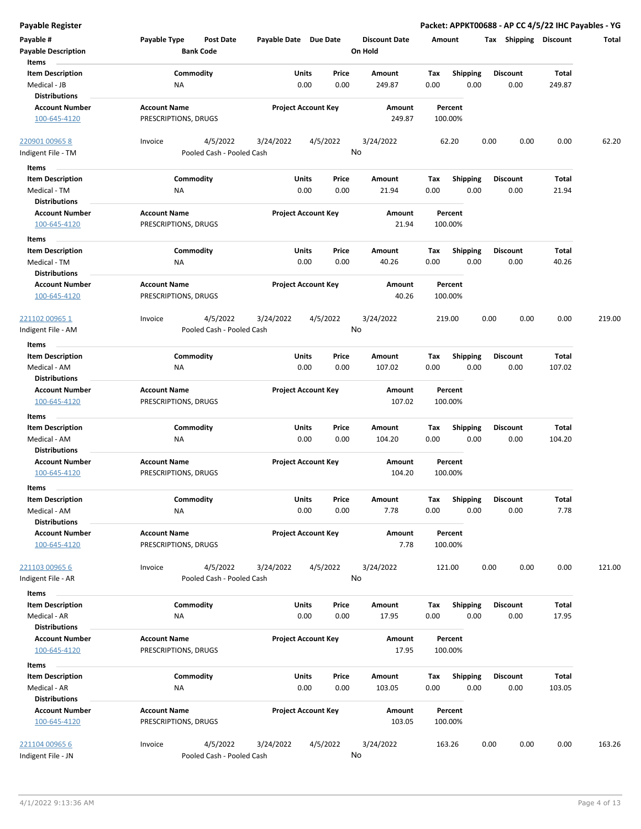| <b>Payable Register</b>                                         |                                                      |                            |                |                                 | Packet: APPKT00688 - AP CC 4/5/22 IHC Payables - YG |                         |                 |        |
|-----------------------------------------------------------------|------------------------------------------------------|----------------------------|----------------|---------------------------------|-----------------------------------------------------|-------------------------|-----------------|--------|
| Payable #<br><b>Payable Description</b>                         | Payable Type<br><b>Post Date</b><br><b>Bank Code</b> | Payable Date Due Date      |                | <b>Discount Date</b><br>On Hold | Amount                                              | Tax Shipping Discount   |                 | Total  |
| Items                                                           |                                                      |                            |                |                                 |                                                     |                         |                 |        |
| <b>Item Description</b><br>Medical - JB<br><b>Distributions</b> | Commodity<br>NA                                      | Units<br>0.00              | Price<br>0.00  | Amount<br>249.87                | Tax<br><b>Shipping</b><br>0.00<br>0.00              | <b>Discount</b><br>0.00 | Total<br>249.87 |        |
| <b>Account Number</b>                                           | <b>Account Name</b>                                  | <b>Project Account Key</b> |                | Amount                          | Percent                                             |                         |                 |        |
| 100-645-4120                                                    | PRESCRIPTIONS, DRUGS                                 |                            |                | 249.87                          | 100.00%                                             |                         |                 |        |
| 220901 00965 8                                                  | 4/5/2022<br>Invoice                                  | 3/24/2022                  | 4/5/2022       | 3/24/2022                       | 62.20                                               | 0.00<br>0.00            | 0.00            | 62.20  |
| Indigent File - TM                                              | Pooled Cash - Pooled Cash                            |                            | No             |                                 |                                                     |                         |                 |        |
| Items                                                           |                                                      |                            |                |                                 |                                                     |                         |                 |        |
| <b>Item Description</b>                                         | Commodity                                            | Units                      | Price          | Amount                          | <b>Shipping</b><br>Tax                              | <b>Discount</b>         | Total           |        |
| Medical - TM<br><b>Distributions</b>                            | ΝA                                                   | 0.00                       | 0.00           | 21.94                           | 0.00<br>0.00                                        | 0.00                    | 21.94           |        |
| <b>Account Number</b>                                           | <b>Account Name</b>                                  | <b>Project Account Key</b> |                | Amount                          | Percent                                             |                         |                 |        |
| 100-645-4120                                                    | PRESCRIPTIONS, DRUGS                                 |                            |                | 21.94                           | 100.00%                                             |                         |                 |        |
| Items                                                           |                                                      |                            |                |                                 |                                                     |                         |                 |        |
| <b>Item Description</b>                                         | Commodity                                            | Units                      | Price          | Amount                          | Tax<br><b>Shipping</b>                              | <b>Discount</b>         | Total           |        |
| Medical - TM<br><b>Distributions</b>                            | ΝA                                                   | 0.00                       | 0.00           | 40.26                           | 0.00<br>0.00                                        | 0.00                    | 40.26           |        |
| <b>Account Number</b><br>100-645-4120                           | <b>Account Name</b><br>PRESCRIPTIONS, DRUGS          | <b>Project Account Key</b> |                | Amount<br>40.26                 | Percent<br>100.00%                                  |                         |                 |        |
| 221102 00965 1<br>Indigent File - AM                            | 4/5/2022<br>Invoice<br>Pooled Cash - Pooled Cash     | 3/24/2022                  | 4/5/2022<br>No | 3/24/2022                       | 219.00                                              | 0.00<br>0.00            | 0.00            | 219.00 |
| Items                                                           |                                                      |                            |                |                                 |                                                     |                         |                 |        |
| <b>Item Description</b>                                         | Commodity                                            | Units                      | Price          | Amount                          | Tax<br><b>Shipping</b>                              | <b>Discount</b>         | Total           |        |
| Medical - AM<br><b>Distributions</b>                            | NA                                                   | 0.00                       | 0.00           | 107.02                          | 0.00<br>0.00                                        | 0.00                    | 107.02          |        |
| <b>Account Number</b><br>100-645-4120                           | <b>Account Name</b><br>PRESCRIPTIONS, DRUGS          | <b>Project Account Key</b> |                | Amount<br>107.02                | Percent<br>100.00%                                  |                         |                 |        |
| Items                                                           |                                                      |                            |                |                                 |                                                     |                         |                 |        |
| <b>Item Description</b>                                         | Commodity                                            | Units                      | Price          | Amount                          | Tax<br><b>Shipping</b>                              | <b>Discount</b>         | Total           |        |
| Medical - AM<br><b>Distributions</b>                            | NA                                                   | 0.00                       | 0.00           | 104.20                          | 0.00<br>0.00                                        | 0.00                    | 104.20          |        |
| <b>Account Number</b><br>100-645-4120                           | <b>Account Name</b><br>PRESCRIPTIONS, DRUGS          | <b>Project Account Key</b> |                | Amount<br>104.20                | Percent<br>100.00%                                  |                         |                 |        |
| ltems                                                           |                                                      |                            |                |                                 |                                                     |                         |                 |        |
| <b>Item Description</b><br>Medical - AM                         | Commodity<br>NA                                      | Units<br>0.00              | Price<br>0.00  | Amount<br>7.78                  | Shipping<br>Tax<br>0.00<br>0.00                     | <b>Discount</b><br>0.00 | Total<br>7.78   |        |
| <b>Distributions</b><br><b>Account Number</b><br>100-645-4120   | <b>Account Name</b><br>PRESCRIPTIONS, DRUGS          | <b>Project Account Key</b> |                | Amount<br>7.78                  | Percent<br>100.00%                                  |                         |                 |        |
| 221103 00965 6<br>Indigent File - AR                            | 4/5/2022<br>Invoice<br>Pooled Cash - Pooled Cash     | 3/24/2022                  | 4/5/2022<br>No | 3/24/2022                       | 121.00                                              | 0.00<br>0.00            | 0.00            | 121.00 |
| Items                                                           |                                                      |                            |                |                                 |                                                     |                         |                 |        |
| <b>Item Description</b>                                         | Commodity                                            | Units                      | Price          | Amount                          | <b>Shipping</b><br>Tax                              | <b>Discount</b>         | Total           |        |
| Medical - AR<br><b>Distributions</b>                            | NA                                                   | 0.00                       | 0.00           | 17.95                           | 0.00<br>0.00                                        | 0.00                    | 17.95           |        |
| <b>Account Number</b><br>100-645-4120                           | <b>Account Name</b><br>PRESCRIPTIONS, DRUGS          | <b>Project Account Key</b> |                | Amount<br>17.95                 | Percent<br>100.00%                                  |                         |                 |        |
| Items                                                           |                                                      |                            |                |                                 |                                                     |                         |                 |        |
| <b>Item Description</b>                                         | Commodity                                            | Units                      | Price          | Amount                          | Tax<br><b>Shipping</b>                              | <b>Discount</b>         | <b>Total</b>    |        |
| Medical - AR                                                    | NA                                                   | 0.00                       | 0.00           | 103.05                          | 0.00<br>0.00                                        | 0.00                    | 103.05          |        |
| <b>Distributions</b>                                            |                                                      |                            |                |                                 |                                                     |                         |                 |        |
| <b>Account Number</b><br>100-645-4120                           | <b>Account Name</b><br>PRESCRIPTIONS, DRUGS          | <b>Project Account Key</b> |                | Amount<br>103.05                | Percent<br>100.00%                                  |                         |                 |        |
| 221104 00965 6<br>Indigent File - JN                            | Invoice<br>4/5/2022<br>Pooled Cash - Pooled Cash     | 3/24/2022                  | 4/5/2022<br>No | 3/24/2022                       | 163.26                                              | 0.00<br>0.00            | 0.00            | 163.26 |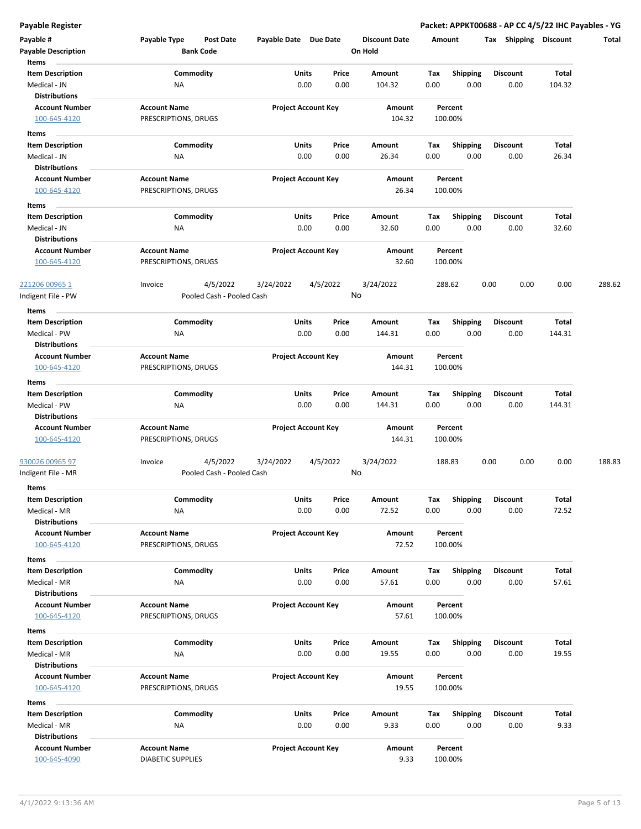**Payable Register Packet: APPKT00688 - AP CC 4/5/22 IHC Payables - YG**

| Payable #<br><b>Payable Description</b>                       | Payable Type                                | Post Date<br><b>Bank Code</b> | Payable Date Due Date |                            | <b>Discount Date</b><br>On Hold |      | Amount             | Shipping<br>Tax | <b>Discount</b> | Total  |
|---------------------------------------------------------------|---------------------------------------------|-------------------------------|-----------------------|----------------------------|---------------------------------|------|--------------------|-----------------|-----------------|--------|
| Items                                                         |                                             |                               |                       |                            |                                 |      |                    |                 |                 |        |
| <b>Item Description</b>                                       | Commodity                                   |                               | Units                 | Price                      | Amount                          | Tax  | <b>Shipping</b>    | <b>Discount</b> | Total           |        |
| Medical - JN                                                  | <b>NA</b>                                   |                               |                       | 0.00<br>0.00               | 104.32                          | 0.00 | 0.00               | 0.00            | 104.32          |        |
| <b>Distributions</b><br><b>Account Number</b><br>100-645-4120 | <b>Account Name</b><br>PRESCRIPTIONS, DRUGS |                               |                       | <b>Project Account Key</b> | Amount<br>104.32                |      | Percent<br>100.00% |                 |                 |        |
|                                                               |                                             |                               |                       |                            |                                 |      |                    |                 |                 |        |
| Items<br><b>Item Description</b>                              | Commodity                                   |                               |                       | Units<br>Price             | Amount                          | Тах  | <b>Shipping</b>    | <b>Discount</b> | Total           |        |
| Medical - JN                                                  | ΝA                                          |                               |                       | 0.00<br>0.00               | 26.34                           | 0.00 | 0.00               | 0.00            | 26.34           |        |
| <b>Distributions</b>                                          |                                             |                               |                       |                            |                                 |      |                    |                 |                 |        |
| <b>Account Number</b>                                         | <b>Account Name</b>                         |                               |                       | <b>Project Account Key</b> | Amount                          |      | Percent            |                 |                 |        |
| 100-645-4120                                                  | PRESCRIPTIONS, DRUGS                        |                               |                       |                            | 26.34                           |      | 100.00%            |                 |                 |        |
| Items                                                         |                                             |                               |                       |                            |                                 |      |                    |                 |                 |        |
| <b>Item Description</b>                                       | Commodity                                   |                               |                       | Units<br>Price             | Amount                          | Tax  | <b>Shipping</b>    | <b>Discount</b> | Total           |        |
| Medical - JN                                                  | ΝA                                          |                               |                       | 0.00<br>0.00               | 32.60                           | 0.00 | 0.00               | 0.00            | 32.60           |        |
| <b>Distributions</b><br><b>Account Number</b><br>100-645-4120 | <b>Account Name</b><br>PRESCRIPTIONS, DRUGS |                               |                       | <b>Project Account Key</b> | Amount<br>32.60                 |      | Percent<br>100.00% |                 |                 |        |
| <u>221206 00965 1</u>                                         | Invoice                                     | 4/5/2022                      | 3/24/2022             | 4/5/2022                   | 3/24/2022                       |      | 288.62             | 0.00<br>0.00    | 0.00            | 288.62 |
| Indigent File - PW                                            |                                             | Pooled Cash - Pooled Cash     |                       |                            | No                              |      |                    |                 |                 |        |
| Items                                                         |                                             |                               |                       |                            |                                 |      |                    |                 |                 |        |
| <b>Item Description</b>                                       | Commodity                                   |                               |                       | Units<br>Price             | Amount                          | Tax  | <b>Shipping</b>    | <b>Discount</b> | Total           |        |
| Medical - PW                                                  | NA                                          |                               |                       | 0.00<br>0.00               | 144.31                          | 0.00 | 0.00               | 0.00            | 144.31          |        |
| <b>Distributions</b>                                          |                                             |                               |                       |                            |                                 |      |                    |                 |                 |        |
| <b>Account Number</b>                                         | <b>Account Name</b>                         |                               |                       | <b>Project Account Key</b> | Amount                          |      | Percent            |                 |                 |        |
| 100-645-4120                                                  | PRESCRIPTIONS, DRUGS                        |                               |                       |                            | 144.31                          |      | 100.00%            |                 |                 |        |
| Items                                                         |                                             |                               |                       |                            |                                 |      |                    |                 |                 |        |
| <b>Item Description</b>                                       | Commodity                                   |                               |                       | Units<br>Price             | Amount                          | Tax  | <b>Shipping</b>    | <b>Discount</b> | Total           |        |
| Medical - PW<br>Distributions                                 | <b>NA</b>                                   |                               |                       | 0.00<br>0.00               | 144.31                          | 0.00 | 0.00               | 0.00            | 144.31          |        |
| <b>Account Number</b>                                         | <b>Account Name</b>                         |                               |                       | <b>Project Account Key</b> | Amount                          |      | Percent            |                 |                 |        |
| 100-645-4120                                                  | PRESCRIPTIONS, DRUGS                        |                               |                       |                            | 144.31                          |      | 100.00%            |                 |                 |        |
| 930026 00965 97                                               | Invoice                                     | 4/5/2022                      | 3/24/2022             | 4/5/2022                   | 3/24/2022                       |      | 188.83             | 0.00<br>0.00    | 0.00            | 188.83 |
| Indigent File - MR                                            |                                             | Pooled Cash - Pooled Cash     |                       |                            | No                              |      |                    |                 |                 |        |
| Items                                                         |                                             |                               |                       |                            |                                 |      |                    |                 |                 |        |
| <b>Item Description</b>                                       | Commodity                                   |                               |                       | Units<br>Price             | Amount                          | Tax  | Shipping           | <b>Discount</b> | Total           |        |
| Medical - MR                                                  | NA                                          |                               |                       | 0.00<br>0.00               | 72.52                           | 0.00 | 0.00               | 0.00            | 72.52           |        |
| <b>Distributions</b><br><b>Account Number</b>                 | <b>Account Name</b>                         |                               |                       |                            |                                 |      | Percent            |                 |                 |        |
| 100-645-4120                                                  | PRESCRIPTIONS, DRUGS                        |                               |                       | <b>Project Account Key</b> | Amount<br>72.52                 |      | 100.00%            |                 |                 |        |
| Items                                                         |                                             |                               |                       |                            |                                 |      |                    |                 |                 |        |
| <b>Item Description</b>                                       |                                             | Commodity                     |                       | Units<br>Price             | Amount                          | Тах  | Shipping           | <b>Discount</b> | Total           |        |
| Medical - MR                                                  | ΝA                                          |                               |                       | 0.00<br>0.00               | 57.61                           | 0.00 | 0.00               | 0.00            | 57.61           |        |
| <b>Distributions</b>                                          |                                             |                               |                       |                            |                                 |      |                    |                 |                 |        |
| <b>Account Number</b>                                         | <b>Account Name</b>                         |                               |                       | <b>Project Account Key</b> | Amount                          |      | Percent            |                 |                 |        |
| 100-645-4120                                                  | PRESCRIPTIONS, DRUGS                        |                               |                       |                            | 57.61                           |      | 100.00%            |                 |                 |        |
| Items                                                         |                                             |                               |                       |                            |                                 |      |                    |                 |                 |        |
| Item Description                                              | Commodity                                   |                               |                       | Units<br>Price             | Amount                          | Tax  | <b>Shipping</b>    | <b>Discount</b> | Total           |        |
| Medical - MR                                                  | NA                                          |                               |                       | 0.00<br>0.00               | 19.55                           | 0.00 | 0.00               | 0.00            | 19.55           |        |
| <b>Distributions</b><br><b>Account Number</b>                 | <b>Account Name</b>                         |                               |                       | <b>Project Account Key</b> | Amount                          |      | Percent            |                 |                 |        |
| 100-645-4120                                                  | PRESCRIPTIONS, DRUGS                        |                               |                       |                            | 19.55                           |      | 100.00%            |                 |                 |        |
| Items                                                         |                                             |                               |                       |                            |                                 |      |                    |                 |                 |        |
| <b>Item Description</b>                                       | Commodity                                   |                               |                       | Units<br>Price             | Amount                          | Tax  | <b>Shipping</b>    | <b>Discount</b> | Total           |        |
| Medical - MR                                                  | NA                                          |                               |                       | 0.00<br>0.00               | 9.33                            | 0.00 | 0.00               | 0.00            | 9.33            |        |
| <b>Distributions</b>                                          |                                             |                               |                       |                            |                                 |      |                    |                 |                 |        |
| <b>Account Number</b>                                         | <b>Account Name</b>                         |                               |                       | <b>Project Account Key</b> | Amount                          |      | Percent            |                 |                 |        |
| 100-645-4090                                                  | <b>DIABETIC SUPPLIES</b>                    |                               |                       |                            | 9.33                            |      | 100.00%            |                 |                 |        |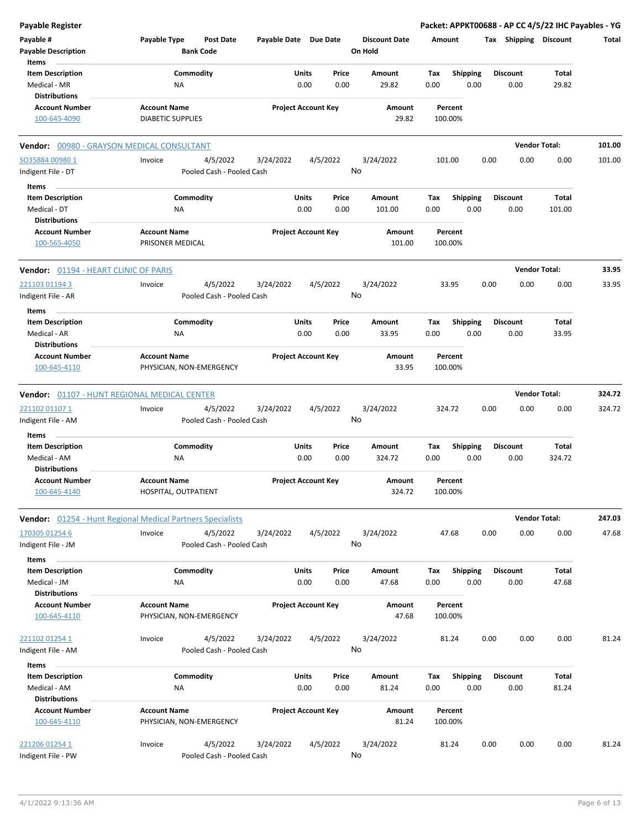| Payable Register                                                |                                                                   |                       |                                |                                 | Packet: APPKT00688 - AP CC 4/5/22 IHC Payables - YG |                         |                      |        |
|-----------------------------------------------------------------|-------------------------------------------------------------------|-----------------------|--------------------------------|---------------------------------|-----------------------------------------------------|-------------------------|----------------------|--------|
| Payable #<br><b>Payable Description</b>                         | Payable Type<br><b>Post Date</b><br><b>Bank Code</b>              | Payable Date Due Date |                                | <b>Discount Date</b><br>On Hold | Amount                                              | Tax Shipping Discount   |                      | Total  |
| Items                                                           |                                                                   |                       |                                |                                 |                                                     |                         |                      |        |
| <b>Item Description</b>                                         | Commodity                                                         |                       | Units<br>Price                 | Amount                          | Tax<br><b>Shipping</b>                              | <b>Discount</b>         | Total                |        |
| Medical - MR<br><b>Distributions</b>                            | ΝA                                                                |                       | 0.00<br>0.00                   | 29.82                           | 0.00<br>0.00                                        | 0.00                    | 29.82                |        |
| <b>Account Number</b>                                           | <b>Account Name</b>                                               |                       | <b>Project Account Key</b>     | Amount                          | Percent                                             |                         |                      |        |
| 100-645-4090                                                    | <b>DIABETIC SUPPLIES</b>                                          |                       |                                | 29.82                           | 100.00%                                             |                         |                      |        |
| Vendor: 00980 - GRAYSON MEDICAL CONSULTANT                      |                                                                   |                       |                                |                                 |                                                     |                         | <b>Vendor Total:</b> | 101.00 |
| SO35884 00980 1<br>Indigent File - DT                           | 4/5/2022<br>Invoice<br>Pooled Cash - Pooled Cash                  | 3/24/2022             | 4/5/2022                       | 3/24/2022<br>No                 | 101.00                                              | 0.00<br>0.00            | 0.00                 | 101.00 |
| Items                                                           |                                                                   |                       |                                |                                 |                                                     |                         |                      |        |
| <b>Item Description</b>                                         | Commodity                                                         |                       | Units<br>Price                 | Amount                          | Tax<br><b>Shipping</b>                              | <b>Discount</b>         | Total                |        |
| Medical - DT                                                    | ΝA                                                                |                       | 0.00<br>0.00                   | 101.00                          | 0.00<br>0.00                                        | 0.00                    | 101.00               |        |
| <b>Distributions</b>                                            |                                                                   |                       |                                |                                 |                                                     |                         |                      |        |
| <b>Account Number</b><br>100-565-4050                           | <b>Account Name</b><br>PRISONER MEDICAL                           |                       | <b>Project Account Key</b>     | Amount<br>101.00                | Percent<br>100.00%                                  |                         |                      |        |
| Vendor: 01194 - HEART CLINIC OF PARIS                           |                                                                   |                       |                                |                                 |                                                     |                         | <b>Vendor Total:</b> | 33.95  |
| 221103 01194 3                                                  | 4/5/2022<br>Invoice                                               | 3/24/2022             | 4/5/2022                       | 3/24/2022                       | 33.95                                               | 0.00<br>0.00            | 0.00                 | 33.95  |
| Indigent File - AR<br>Items                                     | Pooled Cash - Pooled Cash                                         |                       |                                | No                              |                                                     |                         |                      |        |
| <b>Item Description</b>                                         | Commodity                                                         | Units                 | Price                          | Amount                          | Tax<br><b>Shipping</b>                              | <b>Discount</b>         | Total                |        |
| Medical - AR                                                    | ΝA                                                                |                       | 0.00<br>0.00                   | 33.95                           | 0.00<br>0.00                                        | 0.00                    | 33.95                |        |
| <b>Distributions</b>                                            |                                                                   |                       |                                |                                 |                                                     |                         |                      |        |
| <b>Account Number</b>                                           | <b>Account Name</b>                                               |                       | <b>Project Account Key</b>     | Amount                          | Percent                                             |                         |                      |        |
| 100-645-4110                                                    | PHYSICIAN, NON-EMERGENCY                                          |                       |                                | 33.95                           | 100.00%                                             |                         |                      |        |
|                                                                 | <b>Vendor: 01107 - HUNT REGIONAL MEDICAL CENTER</b>               |                       |                                |                                 |                                                     |                         | <b>Vendor Total:</b> | 324.72 |
| 221102 01107 1                                                  | 4/5/2022<br>Invoice                                               | 3/24/2022             | 4/5/2022                       | 3/24/2022                       | 324.72                                              | 0.00<br>0.00            | 0.00                 | 324.72 |
| Indigent File - AM                                              | Pooled Cash - Pooled Cash                                         |                       |                                | No                              |                                                     |                         |                      |        |
| Items                                                           |                                                                   |                       |                                |                                 |                                                     |                         |                      |        |
| <b>Item Description</b>                                         | Commodity                                                         |                       | Units<br>Price                 | Amount                          | Tax<br><b>Shipping</b>                              | <b>Discount</b>         | Total                |        |
| Medical - AM                                                    | ΝA                                                                |                       | 0.00<br>0.00                   | 324.72                          | 0.00<br>0.00                                        | 0.00                    | 324.72               |        |
| <b>Distributions</b>                                            |                                                                   |                       |                                |                                 |                                                     |                         |                      |        |
| <b>Account Number</b>                                           | <b>Account Name</b>                                               |                       | <b>Project Account Key</b>     | Amount                          | Percent                                             |                         |                      |        |
| 100-645-4140                                                    | HOSPITAL, OUTPATIENT                                              |                       |                                | 324.72                          | 100.00%                                             |                         |                      |        |
|                                                                 | <b>Vendor:</b> 01254 - Hunt Regional Medical Partners Specialists |                       |                                |                                 |                                                     |                         | <b>Vendor Total:</b> | 247.03 |
| 170305 01254 6<br>Indigent File - JM                            | Invoice<br>4/5/2022<br>Pooled Cash - Pooled Cash                  | 3/24/2022             | 4/5/2022                       | 3/24/2022<br>No                 | 47.68                                               | 0.00<br>0.00            | 0.00                 | 47.68  |
| Items                                                           |                                                                   |                       |                                |                                 |                                                     |                         |                      |        |
| <b>Item Description</b><br>Medical - JM<br><b>Distributions</b> | Commodity<br>NA                                                   |                       | Units<br>Price<br>0.00<br>0.00 | Amount<br>47.68                 | Tax<br><b>Shipping</b><br>0.00<br>0.00              | <b>Discount</b><br>0.00 | Total<br>47.68       |        |
| <b>Account Number</b>                                           | <b>Account Name</b>                                               |                       | <b>Project Account Key</b>     | Amount                          | Percent                                             |                         |                      |        |
| 100-645-4110                                                    | PHYSICIAN, NON-EMERGENCY                                          |                       |                                | 47.68                           | 100.00%                                             |                         |                      |        |
| 221102 01254 1                                                  | 4/5/2022<br>Invoice                                               | 3/24/2022             | 4/5/2022                       | 3/24/2022                       | 81.24                                               | 0.00<br>0.00            | 0.00                 | 81.24  |
| Indigent File - AM                                              | Pooled Cash - Pooled Cash                                         |                       |                                | No                              |                                                     |                         |                      |        |
| Items                                                           |                                                                   |                       |                                |                                 |                                                     |                         |                      |        |
| <b>Item Description</b><br>Medical - AM                         | Commodity<br>NA                                                   |                       | Units<br>Price<br>0.00<br>0.00 | Amount<br>81.24                 | <b>Shipping</b><br>Tax<br>0.00<br>0.00              | <b>Discount</b><br>0.00 | Total<br>81.24       |        |
| <b>Distributions</b>                                            |                                                                   |                       |                                |                                 |                                                     |                         |                      |        |
| <b>Account Number</b><br>100-645-4110                           | <b>Account Name</b><br>PHYSICIAN, NON-EMERGENCY                   |                       | <b>Project Account Key</b>     | Amount<br>81.24                 | Percent<br>100.00%                                  |                         |                      |        |
| 221206 01254 1<br>Indigent File - PW                            | 4/5/2022<br>Invoice<br>Pooled Cash - Pooled Cash                  | 3/24/2022             | 4/5/2022                       | 3/24/2022<br>No                 | 81.24                                               | 0.00<br>0.00            | 0.00                 | 81.24  |
|                                                                 |                                                                   |                       |                                |                                 |                                                     |                         |                      |        |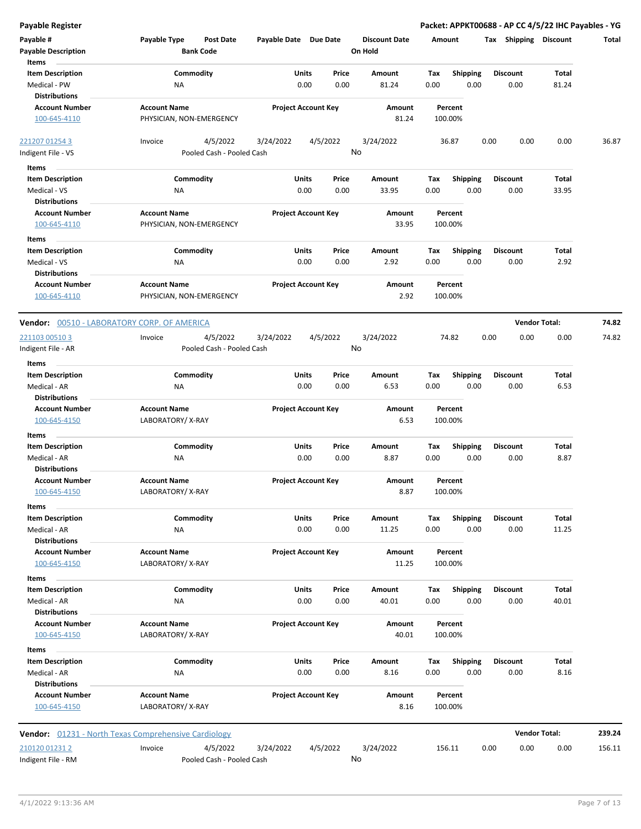| <b>Payable Register</b>                                         |                                                             |                            |               |                                 | Packet: APPKT00688 - AP CC 4/5/22 IHC Payables - YG |      |                         |                      |        |
|-----------------------------------------------------------------|-------------------------------------------------------------|----------------------------|---------------|---------------------------------|-----------------------------------------------------|------|-------------------------|----------------------|--------|
| Payable #<br><b>Payable Description</b>                         | Payable Type<br>Post Date<br><b>Bank Code</b>               | Payable Date Due Date      |               | <b>Discount Date</b><br>On Hold | Amount                                              |      | Tax Shipping Discount   |                      | Total  |
| Items                                                           |                                                             |                            |               |                                 |                                                     |      |                         |                      |        |
| <b>Item Description</b><br>Medical - PW                         | Commodity<br>ΝA                                             | Units<br>0.00              | Price<br>0.00 | Amount<br>81.24                 | Tax<br><b>Shipping</b><br>0.00                      | 0.00 | <b>Discount</b><br>0.00 | Total<br>81.24       |        |
| <b>Distributions</b>                                            |                                                             |                            |               |                                 |                                                     |      |                         |                      |        |
| <b>Account Number</b><br>100-645-4110                           | <b>Account Name</b><br>PHYSICIAN, NON-EMERGENCY             | <b>Project Account Key</b> |               | Amount<br>81.24                 | Percent<br>100.00%                                  |      |                         |                      |        |
| 221207 01254 3<br>Indigent File - VS                            | 4/5/2022<br>Invoice<br>Pooled Cash - Pooled Cash            | 3/24/2022                  | 4/5/2022      | 3/24/2022<br>No                 | 36.87                                               | 0.00 | 0.00                    | 0.00                 | 36.87  |
|                                                                 |                                                             |                            |               |                                 |                                                     |      |                         |                      |        |
| Items                                                           |                                                             |                            |               |                                 |                                                     |      |                         |                      |        |
| <b>Item Description</b><br>Medical - VS<br><b>Distributions</b> | Commodity<br>ΝA                                             | Units<br>0.00              | Price<br>0.00 | Amount<br>33.95                 | Tax<br><b>Shipping</b><br>0.00                      | 0.00 | Discount<br>0.00        | Total<br>33.95       |        |
| <b>Account Number</b>                                           | <b>Account Name</b>                                         | <b>Project Account Key</b> |               | Amount                          | Percent                                             |      |                         |                      |        |
| 100-645-4110                                                    | PHYSICIAN, NON-EMERGENCY                                    |                            |               | 33.95                           | 100.00%                                             |      |                         |                      |        |
| Items                                                           |                                                             |                            |               |                                 |                                                     |      |                         |                      |        |
| <b>Item Description</b><br>Medical - VS<br><b>Distributions</b> | Commodity<br>ΝA                                             | Units<br>0.00              | Price<br>0.00 | Amount<br>2.92                  | Tax<br><b>Shipping</b><br>0.00                      | 0.00 | <b>Discount</b><br>0.00 | Total<br>2.92        |        |
| <b>Account Number</b>                                           | <b>Account Name</b>                                         | <b>Project Account Key</b> |               | Amount                          | Percent                                             |      |                         |                      |        |
| 100-645-4110                                                    | PHYSICIAN, NON-EMERGENCY                                    |                            |               | 2.92                            | 100.00%                                             |      |                         |                      |        |
| Vendor: 00510 - LABORATORY CORP. OF AMERICA                     |                                                             |                            |               |                                 |                                                     |      |                         | <b>Vendor Total:</b> | 74.82  |
| 221103 00510 3                                                  | 4/5/2022<br>Invoice                                         | 3/24/2022                  | 4/5/2022      | 3/24/2022                       | 74.82                                               | 0.00 | 0.00                    | 0.00                 | 74.82  |
| Indigent File - AR<br>Items                                     | Pooled Cash - Pooled Cash                                   |                            |               | No                              |                                                     |      |                         |                      |        |
| <b>Item Description</b>                                         | Commodity                                                   | Units                      | Price         | Amount                          | Tax<br><b>Shipping</b>                              |      | Discount                | Total                |        |
| Medical - AR<br><b>Distributions</b>                            | ΝA                                                          | 0.00                       | 0.00          | 6.53                            | 0.00                                                | 0.00 | 0.00                    | 6.53                 |        |
| <b>Account Number</b><br>100-645-4150                           | <b>Account Name</b><br>LABORATORY/X-RAY                     | <b>Project Account Key</b> |               | Amount<br>6.53                  | Percent<br>100.00%                                  |      |                         |                      |        |
| Items                                                           | Commodity                                                   | Units                      | Price         | Amount                          | <b>Shipping</b><br>Tax                              |      | Discount                | Total                |        |
| <b>Item Description</b><br>Medical - AR                         | ΝA                                                          | 0.00                       | 0.00          | 8.87                            | 0.00                                                | 0.00 | 0.00                    | 8.87                 |        |
| <b>Distributions</b>                                            |                                                             |                            |               |                                 |                                                     |      |                         |                      |        |
| <b>Account Number</b><br>100-645-4150                           | <b>Account Name</b><br>LABORATORY/X-RAY                     | <b>Project Account Key</b> |               | Amount<br>8.87                  | Percent<br>100.00%                                  |      |                         |                      |        |
| Items                                                           |                                                             |                            |               |                                 |                                                     |      |                         |                      |        |
| <b>Item Description</b>                                         | Commodity                                                   | Units                      | Price         | Amount                          | Shipping<br>Tax                                     |      | Discount                | Total                |        |
| Medical - AR<br><b>Distributions</b>                            | ΝA                                                          | 0.00                       | 0.00          | 11.25                           | 0.00                                                | 0.00 | 0.00                    | 11.25                |        |
| <b>Account Number</b><br>100-645-4150                           | <b>Account Name</b><br>LABORATORY/X-RAY                     | <b>Project Account Key</b> |               | Amount<br>11.25                 | Percent<br>100.00%                                  |      |                         |                      |        |
| Items                                                           |                                                             |                            |               |                                 |                                                     |      |                         |                      |        |
| <b>Item Description</b><br>Medical - AR                         | Commodity<br>ΝA                                             | Units<br>0.00              | Price<br>0.00 | Amount<br>40.01                 | <b>Shipping</b><br>Tax<br>0.00                      | 0.00 | Discount<br>0.00        | Total<br>40.01       |        |
| <b>Distributions</b>                                            |                                                             |                            |               |                                 |                                                     |      |                         |                      |        |
| <b>Account Number</b>                                           | <b>Account Name</b>                                         | <b>Project Account Key</b> |               | Amount                          | Percent                                             |      |                         |                      |        |
| 100-645-4150                                                    | LABORATORY/X-RAY                                            |                            |               | 40.01                           | 100.00%                                             |      |                         |                      |        |
| Items                                                           |                                                             |                            |               |                                 |                                                     |      |                         |                      |        |
| <b>Item Description</b><br>Medical - AR                         | Commodity<br>NA                                             | Units<br>0.00              | Price<br>0.00 | Amount<br>8.16                  | Tax<br><b>Shipping</b><br>0.00                      | 0.00 | <b>Discount</b><br>0.00 | Total<br>8.16        |        |
| <b>Distributions</b><br><b>Account Number</b>                   | <b>Account Name</b>                                         | <b>Project Account Key</b> |               | Amount                          | Percent                                             |      |                         |                      |        |
| 100-645-4150                                                    | LABORATORY/X-RAY                                            |                            |               | 8.16                            | 100.00%                                             |      |                         |                      |        |
|                                                                 | <b>Vendor:</b> 01231 - North Texas Comprehensive Cardiology |                            |               |                                 |                                                     |      |                         | <b>Vendor Total:</b> | 239.24 |
| 210120 01231 2                                                  | Invoice<br>4/5/2022                                         | 3/24/2022                  | 4/5/2022      | 3/24/2022                       | 156.11                                              | 0.00 | 0.00                    | 0.00                 | 156.11 |
| Indigent File - RM                                              | Pooled Cash - Pooled Cash                                   |                            |               | No                              |                                                     |      |                         |                      |        |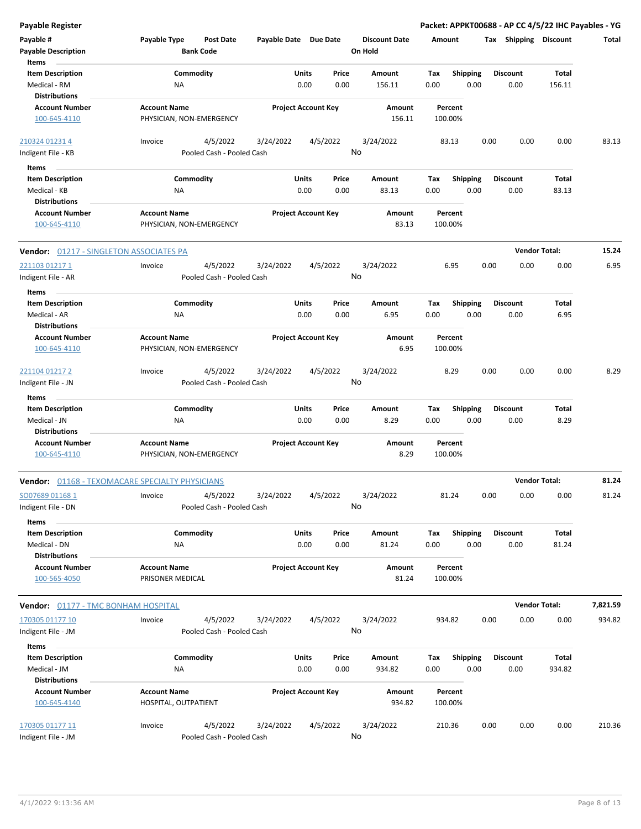| <b>Payable Register</b>                         |                                             |                           |                            |       |          |                      |        |                    |      |                       | Packet: APPKT00688 - AP CC 4/5/22 IHC Payables - YG |          |
|-------------------------------------------------|---------------------------------------------|---------------------------|----------------------------|-------|----------|----------------------|--------|--------------------|------|-----------------------|-----------------------------------------------------|----------|
| Payable #                                       | Payable Type                                | <b>Post Date</b>          | Payable Date Due Date      |       |          | <b>Discount Date</b> | Amount |                    |      | Tax Shipping Discount |                                                     | Total    |
| <b>Payable Description</b>                      |                                             | <b>Bank Code</b>          |                            |       |          | On Hold              |        |                    |      |                       |                                                     |          |
| Items                                           |                                             |                           |                            |       |          |                      |        |                    |      |                       |                                                     |          |
| <b>Item Description</b>                         | Commodity                                   |                           |                            | Units | Price    | Amount               | Tax    | Shipping           |      | <b>Discount</b>       | Total                                               |          |
| Medical - RM                                    | NA                                          |                           |                            | 0.00  | 0.00     | 156.11               | 0.00   | 0.00               |      | 0.00                  | 156.11                                              |          |
| <b>Distributions</b>                            |                                             |                           |                            |       |          |                      |        |                    |      |                       |                                                     |          |
| <b>Account Number</b>                           | <b>Account Name</b>                         |                           | <b>Project Account Key</b> |       |          | Amount               |        | Percent            |      |                       |                                                     |          |
| 100-645-4110                                    | PHYSICIAN, NON-EMERGENCY                    |                           |                            |       |          | 156.11               |        | 100.00%            |      |                       |                                                     |          |
| 210324 01231 4                                  | Invoice                                     | 4/5/2022                  | 3/24/2022                  |       | 4/5/2022 | 3/24/2022            |        | 83.13              | 0.00 | 0.00                  | 0.00                                                | 83.13    |
| Indigent File - KB                              |                                             | Pooled Cash - Pooled Cash |                            |       |          | No                   |        |                    |      |                       |                                                     |          |
| Items                                           |                                             |                           |                            |       |          |                      |        |                    |      |                       |                                                     |          |
| <b>Item Description</b>                         | Commodity                                   |                           |                            | Units | Price    | Amount               | Tax    | <b>Shipping</b>    |      | <b>Discount</b>       | Total                                               |          |
| Medical - KB                                    | ΝA                                          |                           |                            | 0.00  | 0.00     | 83.13                | 0.00   | 0.00               |      | 0.00                  | 83.13                                               |          |
| <b>Distributions</b>                            |                                             |                           |                            |       |          |                      |        |                    |      |                       |                                                     |          |
| <b>Account Number</b>                           | <b>Account Name</b>                         |                           | <b>Project Account Key</b> |       |          | Amount               |        | Percent            |      |                       |                                                     |          |
| 100-645-4110                                    | PHYSICIAN, NON-EMERGENCY                    |                           |                            |       |          | 83.13                |        | 100.00%            |      |                       |                                                     |          |
| <b>Vendor: 01217 - SINGLETON ASSOCIATES PA</b>  |                                             |                           |                            |       |          |                      |        |                    |      |                       | <b>Vendor Total:</b>                                | 15.24    |
| 221103 01217 1                                  | Invoice                                     | 4/5/2022                  | 3/24/2022                  |       | 4/5/2022 | 3/24/2022            |        | 6.95               | 0.00 | 0.00                  | 0.00                                                | 6.95     |
| Indigent File - AR                              |                                             | Pooled Cash - Pooled Cash |                            |       |          | No                   |        |                    |      |                       |                                                     |          |
|                                                 |                                             |                           |                            |       |          |                      |        |                    |      |                       |                                                     |          |
| Items                                           |                                             |                           |                            |       |          |                      |        |                    |      |                       |                                                     |          |
| <b>Item Description</b>                         | Commodity                                   |                           |                            | Units | Price    | Amount               | Tax    | <b>Shipping</b>    |      | <b>Discount</b>       | Total                                               |          |
| Medical - AR                                    | ΝA                                          |                           |                            | 0.00  | 0.00     | 6.95                 | 0.00   | 0.00               |      | 0.00                  | 6.95                                                |          |
| <b>Distributions</b>                            |                                             |                           |                            |       |          |                      |        |                    |      |                       |                                                     |          |
| <b>Account Number</b>                           | <b>Account Name</b>                         |                           | <b>Project Account Key</b> |       |          | Amount               |        | Percent            |      |                       |                                                     |          |
| 100-645-4110                                    | PHYSICIAN, NON-EMERGENCY                    |                           |                            |       |          | 6.95                 |        | 100.00%            |      |                       |                                                     |          |
| 221104 01217 2                                  | Invoice                                     | 4/5/2022                  | 3/24/2022                  |       | 4/5/2022 | 3/24/2022            |        | 8.29               | 0.00 | 0.00                  | 0.00                                                | 8.29     |
| Indigent File - JN                              |                                             | Pooled Cash - Pooled Cash |                            |       |          | No                   |        |                    |      |                       |                                                     |          |
| Items                                           |                                             |                           |                            |       |          |                      |        |                    |      |                       |                                                     |          |
| <b>Item Description</b>                         | Commodity                                   |                           |                            | Units | Price    | Amount               | Tax    | <b>Shipping</b>    |      | <b>Discount</b>       | Total                                               |          |
| Medical - JN                                    | NA                                          |                           |                            | 0.00  | 0.00     | 8.29                 | 0.00   | 0.00               |      | 0.00                  | 8.29                                                |          |
| <b>Distributions</b>                            |                                             |                           |                            |       |          |                      |        |                    |      |                       |                                                     |          |
| <b>Account Number</b>                           | <b>Account Name</b>                         |                           | <b>Project Account Key</b> |       |          | Amount               |        | Percent            |      |                       |                                                     |          |
| 100-645-4110                                    | PHYSICIAN, NON-EMERGENCY                    |                           |                            |       |          | 8.29                 |        | 100.00%            |      |                       |                                                     |          |
| Vendor: 01168 - TEXOMACARE SPECIALTY PHYSICIANS |                                             |                           |                            |       |          |                      |        |                    |      |                       | <b>Vendor Total:</b>                                | 81.24    |
| SO07689 01168 1                                 | Invoice                                     | 4/5/2022                  | 3/24/2022                  |       | 4/5/2022 | 3/24/2022            |        | 81.24              | 0.00 | 0.00                  | 0.00                                                | 81.24    |
| Indigent File - DN                              |                                             | Pooled Cash - Pooled Cash |                            |       |          | No                   |        |                    |      |                       |                                                     |          |
| Items                                           |                                             |                           |                            |       |          |                      |        |                    |      |                       |                                                     |          |
| <b>Item Description</b>                         | Commodity                                   |                           |                            | Units | Price    | Amount               | Tax    | Shipping           |      | <b>Discount</b>       | Total                                               |          |
| Medical - DN                                    | NA                                          |                           |                            | 0.00  | 0.00     | 81.24                | 0.00   | 0.00               |      | 0.00                  | 81.24                                               |          |
| <b>Distributions</b>                            |                                             |                           |                            |       |          |                      |        |                    |      |                       |                                                     |          |
| <b>Account Number</b>                           | <b>Account Name</b>                         |                           | <b>Project Account Key</b> |       |          | Amount               |        | Percent            |      |                       |                                                     |          |
| 100-565-4050                                    | PRISONER MEDICAL                            |                           |                            |       |          | 81.24                |        | 100.00%            |      |                       |                                                     |          |
| <b>Vendor: 01177 - TMC BONHAM HOSPITAL</b>      |                                             |                           |                            |       |          |                      |        |                    |      |                       | <b>Vendor Total:</b>                                | 7,821.59 |
| 170305 01177 10                                 | Invoice                                     | 4/5/2022                  | 3/24/2022                  |       | 4/5/2022 | 3/24/2022            | 934.82 |                    | 0.00 | 0.00                  | 0.00                                                | 934.82   |
| Indigent File - JM                              |                                             | Pooled Cash - Pooled Cash |                            |       |          | No                   |        |                    |      |                       |                                                     |          |
|                                                 |                                             |                           |                            |       |          |                      |        |                    |      |                       |                                                     |          |
| Items                                           |                                             |                           |                            |       |          |                      |        |                    |      |                       |                                                     |          |
| <b>Item Description</b>                         | Commodity                                   |                           |                            | Units | Price    | Amount               | Tax    | <b>Shipping</b>    |      | <b>Discount</b>       | Total                                               |          |
| Medical - JM                                    | NA                                          |                           |                            | 0.00  | 0.00     | 934.82               | 0.00   | 0.00               |      | 0.00                  | 934.82                                              |          |
| <b>Distributions</b>                            |                                             |                           |                            |       |          |                      |        |                    |      |                       |                                                     |          |
| <b>Account Number</b><br>100-645-4140           | <b>Account Name</b><br>HOSPITAL, OUTPATIENT |                           | <b>Project Account Key</b> |       |          | Amount<br>934.82     |        | Percent<br>100.00% |      |                       |                                                     |          |
| 170305 01177 11                                 | Invoice                                     | 4/5/2022                  | 3/24/2022                  |       | 4/5/2022 | 3/24/2022            |        | 210.36             | 0.00 | 0.00                  | 0.00                                                | 210.36   |
| Indigent File - JM                              |                                             | Pooled Cash - Pooled Cash |                            |       |          | No                   |        |                    |      |                       |                                                     |          |
|                                                 |                                             |                           |                            |       |          |                      |        |                    |      |                       |                                                     |          |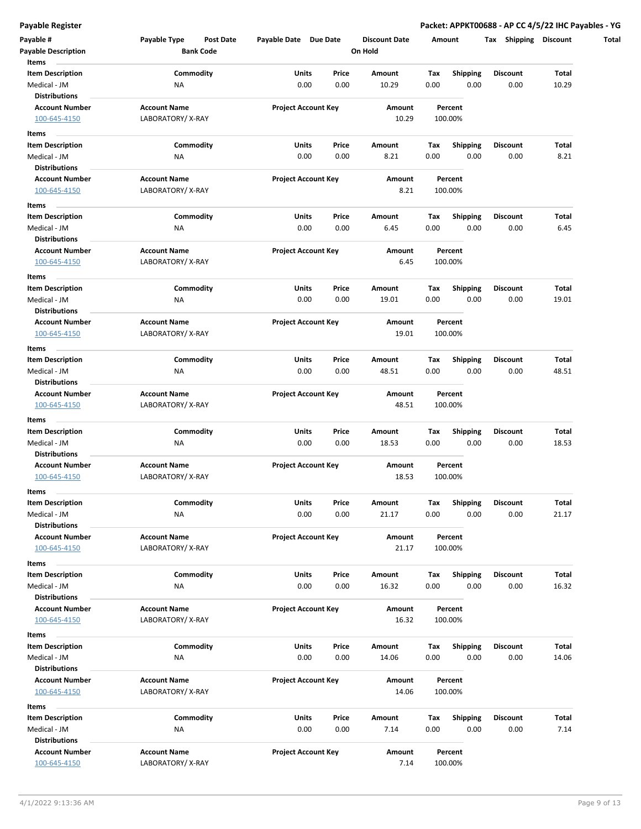**Payable Register Packet: APPKT00688 - AP CC 4/5/22 IHC Payables - YG**

| Payable #<br><b>Payable Description</b>          | Payable Type<br>Post Date<br><b>Bank Code</b> | Payable Date Due Date      |               | <b>Discount Date</b><br>On Hold | Amount      |                         | Tax Shipping Discount   |                |
|--------------------------------------------------|-----------------------------------------------|----------------------------|---------------|---------------------------------|-------------|-------------------------|-------------------------|----------------|
| Items<br><b>Item Description</b><br>Medical - JM | Commodity<br>ΝA                               | Units<br>0.00              | Price<br>0.00 | Amount<br>10.29                 | Tax<br>0.00 | Shipping<br>0.00        | Discount<br>0.00        | Total<br>10.29 |
| <b>Distributions</b><br><b>Account Number</b>    | <b>Account Name</b>                           | <b>Project Account Key</b> |               | Amount                          |             | Percent                 |                         |                |
| 100-645-4150                                     | LABORATORY/X-RAY                              |                            |               | 10.29                           |             | 100.00%                 |                         |                |
| Items                                            |                                               |                            |               |                                 |             |                         |                         |                |
| <b>Item Description</b><br>Medical - JM          | Commodity<br><b>NA</b>                        | Units<br>0.00              | Price<br>0.00 | Amount<br>8.21                  | Tax<br>0.00 | <b>Shipping</b><br>0.00 | <b>Discount</b><br>0.00 | Total<br>8.21  |
| <b>Distributions</b>                             |                                               |                            |               |                                 |             |                         |                         |                |
| <b>Account Number</b><br>100-645-4150            | <b>Account Name</b><br>LABORATORY/X-RAY       | <b>Project Account Key</b> |               | Amount<br>8.21                  |             | Percent<br>100.00%      |                         |                |
| Items                                            |                                               |                            |               |                                 |             |                         |                         |                |
| <b>Item Description</b>                          | Commodity                                     | Units                      | Price         | Amount                          | Tax         | <b>Shipping</b>         | Discount                | Total          |
| Medical - JM                                     | NA                                            | 0.00                       | 0.00          | 6.45                            | 0.00        | 0.00                    | 0.00                    | 6.45           |
| <b>Distributions</b>                             |                                               |                            |               |                                 |             |                         |                         |                |
| <b>Account Number</b><br>100-645-4150            | <b>Account Name</b><br>LABORATORY/X-RAY       | <b>Project Account Key</b> |               | Amount<br>6.45                  |             | Percent<br>100.00%      |                         |                |
| Items                                            |                                               |                            |               |                                 |             |                         |                         |                |
| <b>Item Description</b>                          | Commodity                                     | Units                      | Price         | Amount                          | Tax         | Shipping                | <b>Discount</b>         | Total          |
| Medical - JM                                     | ΝA                                            | 0.00                       | 0.00          | 19.01                           | 0.00        | 0.00                    | 0.00                    | 19.01          |
| <b>Distributions</b>                             |                                               |                            |               |                                 |             |                         |                         |                |
| <b>Account Number</b>                            | <b>Account Name</b>                           | <b>Project Account Key</b> |               | Amount                          |             | Percent                 |                         |                |
| 100-645-4150                                     | LABORATORY/X-RAY                              |                            |               | 19.01                           |             | 100.00%                 |                         |                |
| Items                                            |                                               |                            |               |                                 |             |                         |                         |                |
| <b>Item Description</b>                          | Commodity                                     | Units                      | Price         | Amount                          | Тах         | <b>Shipping</b>         | <b>Discount</b>         | Total          |
| Medical - JM                                     | NA                                            | 0.00                       | 0.00          | 48.51                           | 0.00        | 0.00                    | 0.00                    | 48.51          |
| <b>Distributions</b>                             |                                               |                            |               |                                 |             |                         |                         |                |
| <b>Account Number</b>                            | <b>Account Name</b>                           | <b>Project Account Key</b> |               | Amount                          |             | Percent                 |                         |                |
| 100-645-4150                                     | LABORATORY/X-RAY                              |                            |               | 48.51                           |             | 100.00%                 |                         |                |
| Items                                            |                                               |                            |               |                                 |             |                         |                         |                |
| <b>Item Description</b>                          | Commodity                                     | Units                      | Price         | Amount                          | Tax         | Shipping                | Discount                | Total          |
| Medical - JM                                     | NA                                            | 0.00                       | 0.00          | 18.53                           | 0.00        | 0.00                    | 0.00                    | 18.53          |
| <b>Distributions</b>                             |                                               |                            |               |                                 |             |                         |                         |                |
| <b>Account Number</b>                            | <b>Account Name</b>                           | <b>Project Account Key</b> |               | Amount                          |             | Percent                 |                         |                |
| 100-645-4150                                     | LABORATORY/X-RAY                              |                            |               | 18.53                           |             | 100.00%                 |                         |                |
| Items                                            |                                               |                            |               |                                 |             |                         |                         |                |
| Item Description                                 | Commodity                                     | Units                      | Price         | Amount                          | Тах         | Shipping                | Discount                | Total          |
| Medical - JM                                     | NA                                            | 0.00                       | 0.00          | 21.17                           | 0.00        | 0.00                    | 0.00                    | 21.17          |
| <b>Distributions</b>                             |                                               |                            |               |                                 |             |                         |                         |                |
| <b>Account Number</b>                            | <b>Account Name</b>                           | <b>Project Account Key</b> |               | Amount                          |             | Percent                 |                         |                |
| 100-645-4150                                     | LABORATORY/X-RAY                              |                            |               | 21.17                           |             | 100.00%                 |                         |                |
| Items                                            |                                               |                            |               |                                 |             |                         |                         |                |
| <b>Item Description</b>                          | Commodity                                     | Units                      | Price         | Amount                          | Tax         | <b>Shipping</b>         | <b>Discount</b>         | Total          |
| Medical - JM                                     | NA                                            | 0.00                       | 0.00          | 16.32                           | 0.00        | 0.00                    | 0.00                    | 16.32          |
| <b>Distributions</b>                             |                                               |                            |               |                                 |             |                         |                         |                |
| <b>Account Number</b>                            | <b>Account Name</b>                           | <b>Project Account Key</b> |               | Amount                          |             | Percent                 |                         |                |
| 100-645-4150                                     | LABORATORY/X-RAY                              |                            |               | 16.32                           |             | 100.00%                 |                         |                |
|                                                  |                                               |                            |               |                                 |             |                         |                         |                |
| Items                                            |                                               |                            |               |                                 |             |                         |                         | Total          |
| <b>Item Description</b>                          | Commodity                                     | Units                      | Price         | Amount<br>14.06                 | Tax         | <b>Shipping</b>         | <b>Discount</b>         | 14.06          |
| Medical - JM<br><b>Distributions</b>             | ΝA                                            | 0.00                       | 0.00          |                                 | 0.00        | 0.00                    | 0.00                    |                |
| <b>Account Number</b>                            | <b>Account Name</b>                           | <b>Project Account Key</b> |               | Amount                          |             | Percent                 |                         |                |
| 100-645-4150                                     | LABORATORY/X-RAY                              |                            |               | 14.06                           |             | 100.00%                 |                         |                |
|                                                  |                                               |                            |               |                                 |             |                         |                         |                |
| Items                                            |                                               |                            |               |                                 |             |                         |                         |                |
| <b>Item Description</b>                          | Commodity                                     | Units                      | Price         | Amount                          | Тах         | Shipping                | Discount                | Total          |
| Medical - JM                                     | NA                                            | 0.00                       | 0.00          | 7.14                            | 0.00        | 0.00                    | 0.00                    | 7.14           |
| <b>Distributions</b>                             |                                               |                            |               |                                 |             |                         |                         |                |
| <b>Account Number</b><br>100-645-4150            | <b>Account Name</b><br>LABORATORY/X-RAY       | <b>Project Account Key</b> |               | Amount<br>7.14                  |             | Percent<br>100.00%      |                         |                |
|                                                  |                                               |                            |               |                                 |             |                         |                         |                |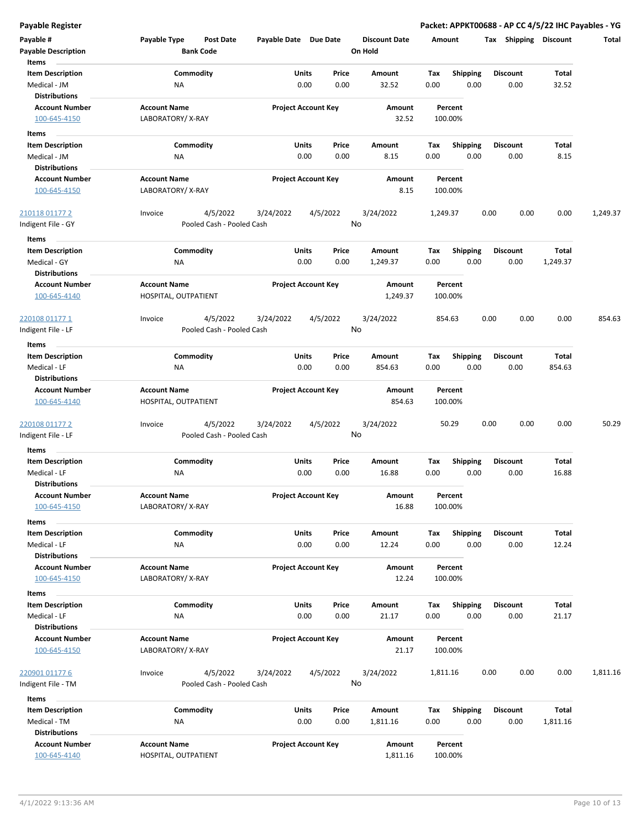**Payable Register Packet: APPKT00688 - AP CC 4/5/22 IHC Payables - YG**

| Payable #<br><b>Payable Description</b><br>Items              | Payable Type<br><b>Post Date</b><br><b>Bank Code</b> | Payable Date Due Date      |                | <b>Discount Date</b><br>On Hold | Amount             |                         | Tax Shipping            | <b>Discount</b>   | Total    |
|---------------------------------------------------------------|------------------------------------------------------|----------------------------|----------------|---------------------------------|--------------------|-------------------------|-------------------------|-------------------|----------|
| <b>Item Description</b><br>Medical - JM                       | Commodity<br>NA                                      | <b>Units</b><br>0.00       | Price<br>0.00  | Amount<br>32.52                 | Tax<br>0.00        | Shipping<br>0.00        | <b>Discount</b><br>0.00 | Total<br>32.52    |          |
| <b>Distributions</b><br><b>Account Number</b><br>100-645-4150 | <b>Account Name</b><br>LABORATORY/X-RAY              | <b>Project Account Key</b> |                | Amount<br>32.52                 | Percent<br>100.00% |                         |                         |                   |          |
| Items                                                         |                                                      |                            |                |                                 |                    |                         |                         |                   |          |
| <b>Item Description</b>                                       | Commodity                                            | Units                      | Price          | Amount                          | Tax                | <b>Shipping</b>         | <b>Discount</b>         | Total             |          |
| Medical - JM<br><b>Distributions</b>                          | NA                                                   | 0.00                       | 0.00           | 8.15                            | 0.00               | 0.00                    | 0.00                    | 8.15              |          |
| <b>Account Number</b><br>100-645-4150                         | <b>Account Name</b><br>LABORATORY/X-RAY              | <b>Project Account Key</b> |                | Amount<br>8.15                  | Percent<br>100.00% |                         |                         |                   |          |
| 210118 01177 2<br>Indigent File - GY                          | 4/5/2022<br>Invoice<br>Pooled Cash - Pooled Cash     | 3/24/2022                  | 4/5/2022<br>No | 3/24/2022                       | 1,249.37           |                         | 0.00<br>0.00            | 0.00              | 1,249.37 |
| Items                                                         |                                                      |                            |                |                                 |                    |                         |                         |                   |          |
| <b>Item Description</b><br>Medical - GY                       | Commodity<br>ΝA                                      | <b>Units</b><br>0.00       | Price<br>0.00  | Amount<br>1,249.37              | Tax<br>0.00        | <b>Shipping</b><br>0.00 | <b>Discount</b><br>0.00 | Total<br>1,249.37 |          |
| <b>Distributions</b><br><b>Account Number</b><br>100-645-4140 | <b>Account Name</b><br>HOSPITAL, OUTPATIENT          | <b>Project Account Key</b> |                | <b>Amount</b><br>1,249.37       | Percent<br>100.00% |                         |                         |                   |          |
| <u>220108 01177 1</u>                                         | 4/5/2022<br>Invoice<br>Pooled Cash - Pooled Cash     | 3/24/2022                  | 4/5/2022<br>No | 3/24/2022                       | 854.63             |                         | 0.00<br>0.00            | 0.00              | 854.63   |
| Indigent File - LF                                            |                                                      |                            |                |                                 |                    |                         |                         |                   |          |
| Items<br><b>Item Description</b><br>Medical - LF              | Commodity<br>NA                                      | <b>Units</b><br>0.00       | Price<br>0.00  | Amount<br>854.63                | Tax<br>0.00        | <b>Shipping</b><br>0.00 | <b>Discount</b><br>0.00 | Total<br>854.63   |          |
| <b>Distributions</b>                                          |                                                      |                            |                |                                 |                    |                         |                         |                   |          |
| <b>Account Number</b><br>100-645-4140                         | <b>Account Name</b><br>HOSPITAL, OUTPATIENT          | <b>Project Account Key</b> |                | Amount<br>854.63                | Percent<br>100.00% |                         |                         |                   |          |
| 220108 01177 2                                                | 4/5/2022<br>Invoice                                  | 3/24/2022                  | 4/5/2022<br>No | 3/24/2022                       | 50.29              |                         | 0.00<br>0.00            | 0.00              | 50.29    |
| Indigent File - LF                                            | Pooled Cash - Pooled Cash                            |                            |                |                                 |                    |                         |                         |                   |          |
| Items<br><b>Item Description</b>                              | Commodity                                            | <b>Units</b>               | Price          | Amount                          | Tax                | <b>Shipping</b>         | <b>Discount</b>         | Total             |          |
| Medical - LF<br><b>Distributions</b>                          | ΝA                                                   | 0.00                       | 0.00           | 16.88                           | 0.00               | 0.00                    | 0.00                    | 16.88             |          |
| <b>Account Number</b><br>100-645-4150                         | <b>Account Name</b><br>LABORATORY/X-RAY              | <b>Project Account Key</b> |                | Amount<br>16.88                 | Percent<br>100.00% |                         |                         |                   |          |
| Items                                                         |                                                      |                            |                |                                 |                    |                         |                         |                   |          |
| <b>Item Description</b><br>Medical - LF                       | Commodity<br>NA                                      | Units<br>0.00              | Price<br>0.00  | Amount<br>12.24                 | Tax<br>0.00        | <b>Shipping</b><br>0.00 | <b>Discount</b><br>0.00 | Total<br>12.24    |          |
| <b>Distributions</b><br><b>Account Number</b><br>100-645-4150 | <b>Account Name</b><br>LABORATORY/X-RAY              | <b>Project Account Key</b> |                | Amount<br>12.24                 | Percent<br>100.00% |                         |                         |                   |          |
| Items                                                         |                                                      |                            |                |                                 |                    |                         |                         |                   |          |
| <b>Item Description</b>                                       | Commodity                                            | <b>Units</b>               | Price          | Amount                          | Tax                | Shipping                | <b>Discount</b>         | Total             |          |
| Medical - LF<br><b>Distributions</b>                          | ΝA                                                   | 0.00                       | 0.00           | 21.17                           | 0.00               | 0.00                    | 0.00                    | 21.17             |          |
| <b>Account Number</b><br>100-645-4150                         | <b>Account Name</b><br>LABORATORY/X-RAY              | <b>Project Account Key</b> |                | Amount<br>21.17                 | Percent<br>100.00% |                         |                         |                   |          |
| 220901 01177 6<br>ndigent File - TM                           | Invoice<br>4/5/2022<br>Pooled Cash - Pooled Cash     | 3/24/2022                  | 4/5/2022<br>No | 3/24/2022                       | 1,811.16           |                         | 0.00<br>0.00            | 0.00              | 1,811.16 |
| Items                                                         |                                                      |                            |                |                                 |                    |                         |                         |                   |          |
| <b>Item Description</b><br>Medical - TM                       | Commodity<br>NA                                      | <b>Units</b><br>0.00       | Price<br>0.00  | Amount<br>1,811.16              | Tax<br>0.00        | Shipping<br>0.00        | <b>Discount</b><br>0.00 | Total<br>1,811.16 |          |
| <b>Distributions</b><br><b>Account Number</b><br>100-645-4140 | <b>Account Name</b><br>HOSPITAL, OUTPATIENT          | <b>Project Account Key</b> |                | Amount<br>1,811.16              | Percent<br>100.00% |                         |                         |                   |          |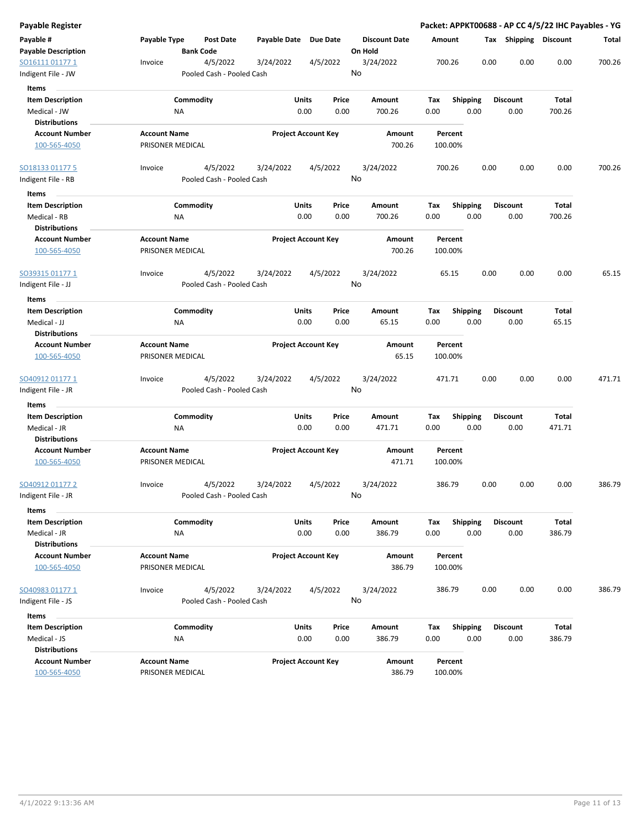| Payable Register                              |                                         |                               |              |                            |                                 |                    |                 |                       | Packet: APPKT00688 - AP CC 4/5/22 IHC Payables - YG |        |
|-----------------------------------------------|-----------------------------------------|-------------------------------|--------------|----------------------------|---------------------------------|--------------------|-----------------|-----------------------|-----------------------------------------------------|--------|
| Payable #<br><b>Payable Description</b>       | Payable Type                            | Post Date<br><b>Bank Code</b> | Payable Date | <b>Due Date</b>            | <b>Discount Date</b><br>On Hold | Amount             |                 | Tax Shipping Discount |                                                     | Total  |
| SO16111 01177 1                               | Invoice                                 | 4/5/2022                      | 3/24/2022    | 4/5/2022                   | 3/24/2022                       | 700.26             | 0.00            | 0.00                  | 0.00                                                | 700.26 |
| Indigent File - JW                            |                                         | Pooled Cash - Pooled Cash     |              |                            | No                              |                    |                 |                       |                                                     |        |
| Items                                         |                                         |                               |              |                            |                                 |                    |                 |                       |                                                     |        |
| <b>Item Description</b>                       |                                         | Commodity                     | <b>Units</b> | Price                      | Amount                          | Tax                | <b>Shipping</b> | <b>Discount</b>       | Total                                               |        |
| Medical - JW                                  | <b>NA</b>                               |                               |              | 0.00<br>0.00               | 700.26                          | 0.00               | 0.00            | 0.00                  | 700.26                                              |        |
| <b>Distributions</b>                          |                                         |                               |              |                            |                                 |                    |                 |                       |                                                     |        |
| <b>Account Number</b>                         | <b>Account Name</b>                     |                               |              | <b>Project Account Key</b> | Amount                          | Percent            |                 |                       |                                                     |        |
| 100-565-4050                                  | PRISONER MEDICAL                        |                               |              |                            | 700.26                          | 100.00%            |                 |                       |                                                     |        |
| SO18133 01177 5                               | Invoice                                 | 4/5/2022                      | 3/24/2022    | 4/5/2022                   | 3/24/2022                       | 700.26             | 0.00            | 0.00                  | 0.00                                                | 700.26 |
| Indigent File - RB                            |                                         | Pooled Cash - Pooled Cash     |              |                            | No                              |                    |                 |                       |                                                     |        |
| Items                                         |                                         |                               |              |                            |                                 |                    |                 |                       |                                                     |        |
| <b>Item Description</b>                       |                                         | Commodity                     | Units        | Price                      | Amount                          | Tax                | <b>Shipping</b> | <b>Discount</b>       | Total                                               |        |
| Medical - RB<br><b>Distributions</b>          | ΝA                                      |                               |              | 0.00<br>0.00               | 700.26                          | 0.00               | 0.00            | 0.00                  | 700.26                                              |        |
| <b>Account Number</b>                         | <b>Account Name</b>                     |                               |              | <b>Project Account Key</b> | Amount                          | Percent            |                 |                       |                                                     |        |
| 100-565-4050                                  | PRISONER MEDICAL                        |                               |              |                            | 700.26                          | 100.00%            |                 |                       |                                                     |        |
| <u>SO39315 01177 1</u>                        | Invoice                                 | 4/5/2022                      | 3/24/2022    | 4/5/2022                   | 3/24/2022                       | 65.15              | 0.00            | 0.00                  | 0.00                                                | 65.15  |
| Indigent File - JJ                            |                                         | Pooled Cash - Pooled Cash     |              |                            | No                              |                    |                 |                       |                                                     |        |
| Items                                         |                                         |                               |              |                            |                                 |                    |                 |                       |                                                     |        |
| <b>Item Description</b>                       |                                         | Commodity                     | <b>Units</b> | Price                      | Amount                          | Tax                | Shipping        | <b>Discount</b>       | Total                                               |        |
| Medical - JJ                                  | ΝA                                      |                               |              | 0.00<br>0.00               | 65.15                           | 0.00               | 0.00            | 0.00                  | 65.15                                               |        |
| <b>Distributions</b><br><b>Account Number</b> | <b>Account Name</b>                     |                               |              | <b>Project Account Key</b> | Amount                          | Percent            |                 |                       |                                                     |        |
| 100-565-4050                                  | PRISONER MEDICAL                        |                               |              |                            | 65.15                           | 100.00%            |                 |                       |                                                     |        |
| <u>SO40912 01177 1</u>                        | Invoice                                 | 4/5/2022                      | 3/24/2022    | 4/5/2022                   | 3/24/2022                       | 471.71             | 0.00            | 0.00                  | 0.00                                                | 471.71 |
| Indigent File - JR                            |                                         | Pooled Cash - Pooled Cash     |              |                            | No                              |                    |                 |                       |                                                     |        |
| Items                                         |                                         |                               |              |                            |                                 |                    |                 |                       |                                                     |        |
| <b>Item Description</b>                       |                                         | Commodity                     | <b>Units</b> | Price                      | Amount                          | Тах                | <b>Shipping</b> | <b>Discount</b>       | Total                                               |        |
| Medical - JR                                  | ΝA                                      |                               |              | 0.00<br>0.00               | 471.71                          | 0.00               | 0.00            | 0.00                  | 471.71                                              |        |
| <b>Distributions</b>                          | <b>Account Name</b>                     |                               |              | <b>Project Account Key</b> |                                 | Percent            |                 |                       |                                                     |        |
| <b>Account Number</b><br>100-565-4050         | PRISONER MEDICAL                        |                               |              |                            | Amount<br>471.71                | 100.00%            |                 |                       |                                                     |        |
| SO40912 01177 2                               | Invoice                                 | 4/5/2022                      | 3/24/2022    | 4/5/2022                   | 3/24/2022                       | 386.79             | 0.00            | 0.00                  | 0.00                                                | 386.79 |
| ndigent File - JR                             |                                         | Pooled Cash - Pooled Cash     |              |                            | No                              |                    |                 |                       |                                                     |        |
| Items                                         |                                         |                               |              |                            |                                 |                    |                 |                       |                                                     |        |
| <b>Item Description</b>                       |                                         | Commodity                     | Units        | Price                      | Amount                          | Tax                | Shipping        | <b>Discount</b>       | Total                                               |        |
| Medical - JR                                  | <b>NA</b>                               |                               |              | 0.00<br>0.00               | 386.79                          | 0.00               | 0.00            | 0.00                  | 386.79                                              |        |
| <b>Distributions</b>                          |                                         |                               |              |                            |                                 |                    |                 |                       |                                                     |        |
| <b>Account Number</b><br>100-565-4050         | <b>Account Name</b><br>PRISONER MEDICAL |                               |              | <b>Project Account Key</b> | Amount<br>386.79                | Percent<br>100.00% |                 |                       |                                                     |        |
| SO40983 01177 1                               | Invoice                                 | 4/5/2022                      | 3/24/2022    | 4/5/2022                   | 3/24/2022                       | 386.79             | 0.00            | 0.00                  | 0.00                                                | 386.79 |
| Indigent File - JS                            |                                         | Pooled Cash - Pooled Cash     |              |                            | No                              |                    |                 |                       |                                                     |        |
| Items                                         |                                         |                               |              |                            |                                 |                    |                 |                       |                                                     |        |
| <b>Item Description</b>                       |                                         | Commodity                     | Units        | Price                      | Amount                          | Tax                | Shipping        | <b>Discount</b>       | Total                                               |        |
| Medical - JS                                  | <b>NA</b>                               |                               |              | 0.00<br>0.00               | 386.79                          | 0.00               | 0.00            | 0.00                  | 386.79                                              |        |
| <b>Distributions</b>                          |                                         |                               |              |                            |                                 |                    |                 |                       |                                                     |        |
| <b>Account Number</b>                         | <b>Account Name</b>                     |                               |              | <b>Project Account Key</b> | Amount                          | Percent            |                 |                       |                                                     |        |
| 100-565-4050                                  | PRISONER MEDICAL                        |                               |              |                            | 386.79                          | 100.00%            |                 |                       |                                                     |        |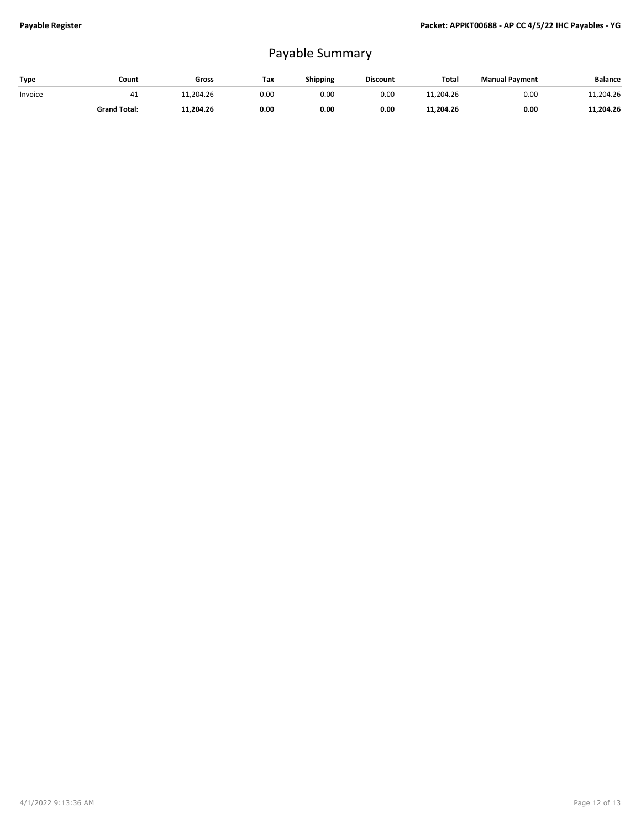## Payable Summary

| Type    | Count               | Gross     | Тах  | Shipping | <b>Discount</b> | Total     | <b>Manual Payment</b> | <b>Balance</b> |
|---------|---------------------|-----------|------|----------|-----------------|-----------|-----------------------|----------------|
| Invoice | 41                  | 1,204.26  | 0.00 | 0.00     | 0.00            | 11.204.26 | 0.00                  | 11,204.26      |
|         | <b>Grand Total:</b> | 11.204.26 | 0.00 | 0.00     | 0.00            | 11,204.26 | 0.00                  | 11,204.26      |